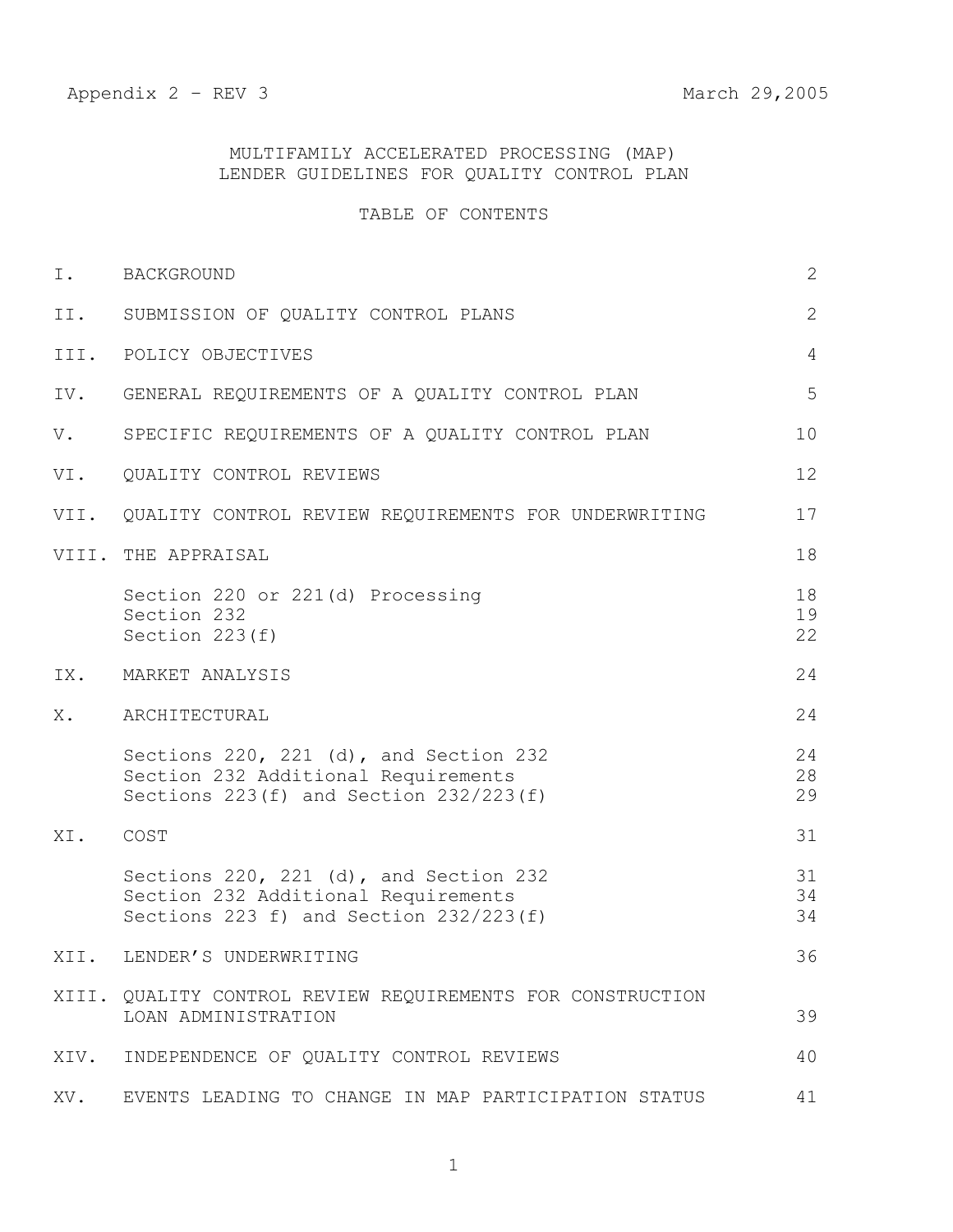# MULTIFAMILY ACCELERATED PROCESSING (MAP) LENDER GUIDELINES FOR QUALITY CONTROL PLAN

# TABLE OF CONTENTS

|      | I. BACKGROUND                                                                                                               | 2              |
|------|-----------------------------------------------------------------------------------------------------------------------------|----------------|
|      | II. SUBMISSION OF QUALITY CONTROL PLANS                                                                                     | $\mathbf{2}$   |
|      | III. POLICY OBJECTIVES                                                                                                      | $\overline{4}$ |
| IV.  | GENERAL REQUIREMENTS OF A QUALITY CONTROL PLAN                                                                              | 5              |
| V.   | SPECIFIC REQUIREMENTS OF A QUALITY CONTROL PLAN                                                                             | 10             |
|      | VI. QUALITY CONTROL REVIEWS                                                                                                 | 12             |
|      | VII. QUALITY CONTROL REVIEW REQUIREMENTS FOR UNDERWRITING                                                                   | 17             |
|      | VIII. THE APPRAISAL                                                                                                         | 18             |
|      | Section 220 or 221(d) Processing<br>Section 232<br>Section $223(f)$                                                         | 18<br>19<br>22 |
| IX.  | MARKET ANALYSIS                                                                                                             | 24             |
| Χ.   | ARCHITECTURAL                                                                                                               | 24             |
|      | Sections 220, 221 (d), and Section 232<br>Section 232 Additional Requirements<br>Sections $223(f)$ and Section $232/223(f)$ | 24<br>28<br>29 |
| XI.  | COST                                                                                                                        | 31             |
|      | Sections 220, 221 (d), and Section 232<br>Section 232 Additional Requirements<br>Sections 223 f) and Section $232/223(f)$   | 31<br>34<br>34 |
| XII. | LENDER'S UNDERWRITING                                                                                                       | 36             |
|      | XIII. QUALITY CONTROL REVIEW REQUIREMENTS FOR CONSTRUCTION<br>LOAN ADMINISTRATION                                           | 39             |
|      | XIV. INDEPENDENCE OF QUALITY CONTROL REVIEWS                                                                                | 40             |
|      | XV. EVENTS LEADING TO CHANGE IN MAP PARTICIPATION STATUS                                                                    | 41             |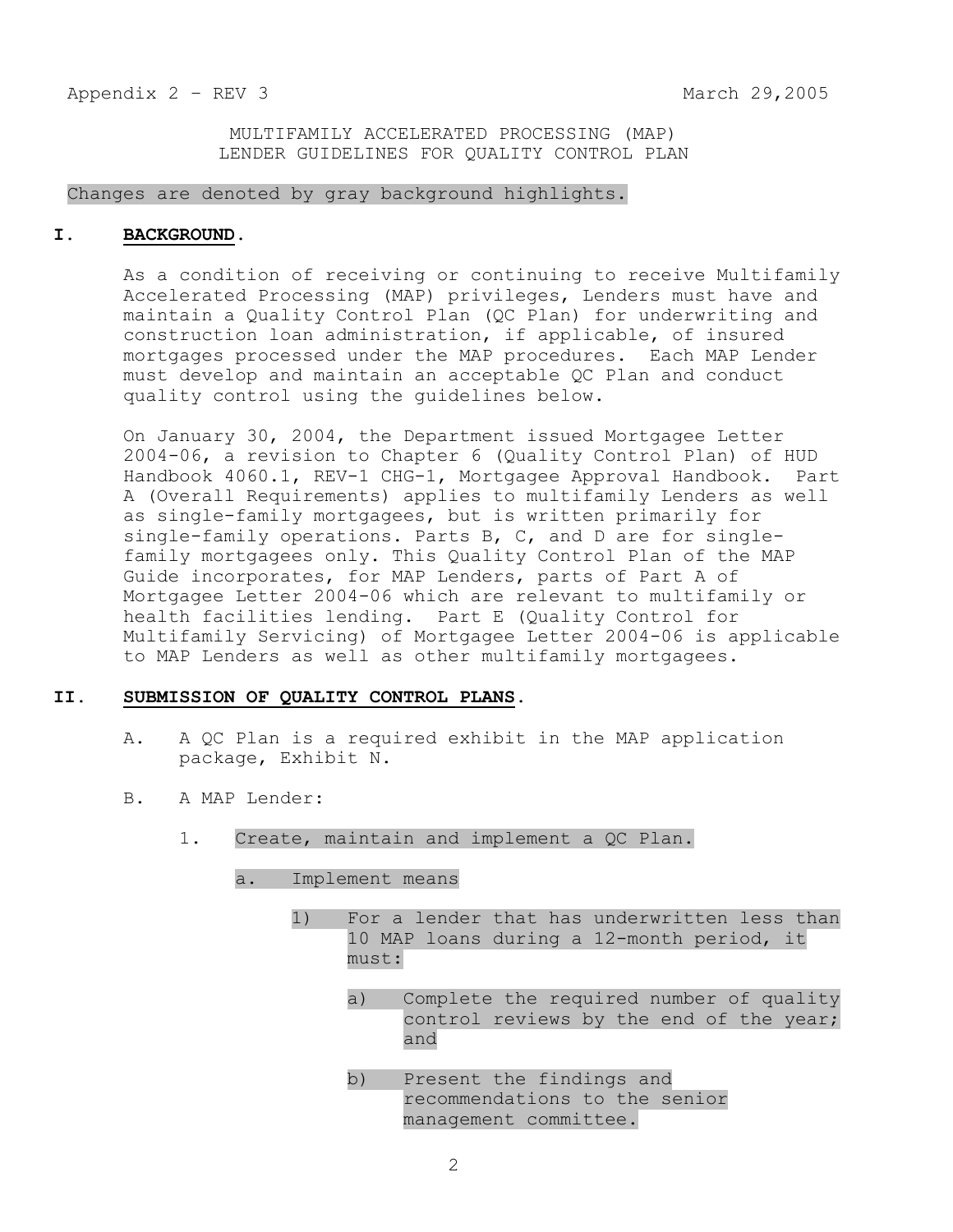MULTIFAMILY ACCELERATED PROCESSING (MAP) LENDER GUIDELINES FOR QUALITY CONTROL PLAN

#### Changes are denoted by gray background highlights.

## **I. BACKGROUND**.

As a condition of receiving or continuing to receive Multifamily Accelerated Processing (MAP) privileges, Lenders must have and maintain a Quality Control Plan (QC Plan) for underwriting and construction loan administration, if applicable, of insured mortgages processed under the MAP procedures. Each MAP Lender must develop and maintain an acceptable QC Plan and conduct quality control using the guidelines below.

On January 30, 2004, the Department issued Mortgagee Letter 2004-06, a revision to Chapter 6 (Quality Control Plan) of HUD Handbook 4060.1, REV-1 CHG-1, Mortgagee Approval Handbook. Part A (Overall Requirements) applies to multifamily Lenders as well as single-family mortgagees, but is written primarily for single-family operations. Parts B, C, and D are for singlefamily mortgagees only. This Quality Control Plan of the MAP Guide incorporates, for MAP Lenders, parts of Part A of Mortgagee Letter 2004-06 which are relevant to multifamily or health facilities lending. Part E (Quality Control for Multifamily Servicing) of Mortgagee Letter 2004-06 is applicable to MAP Lenders as well as other multifamily mortgagees.

### **II. SUBMISSION OF QUALITY CONTROL PLANS.**

- A. A QC Plan is a required exhibit in the MAP application package, Exhibit N.
- B. A MAP Lender:
	- 1. Create, maintain and implement a QC Plan.
		- a. Implement means
			- 1) For a lender that has underwritten less than 10 MAP loans during a 12-month period, it must:
				- a) Complete the required number of quality control reviews by the end of the year; and
				- b) Present the findings and recommendations to the senior management committee.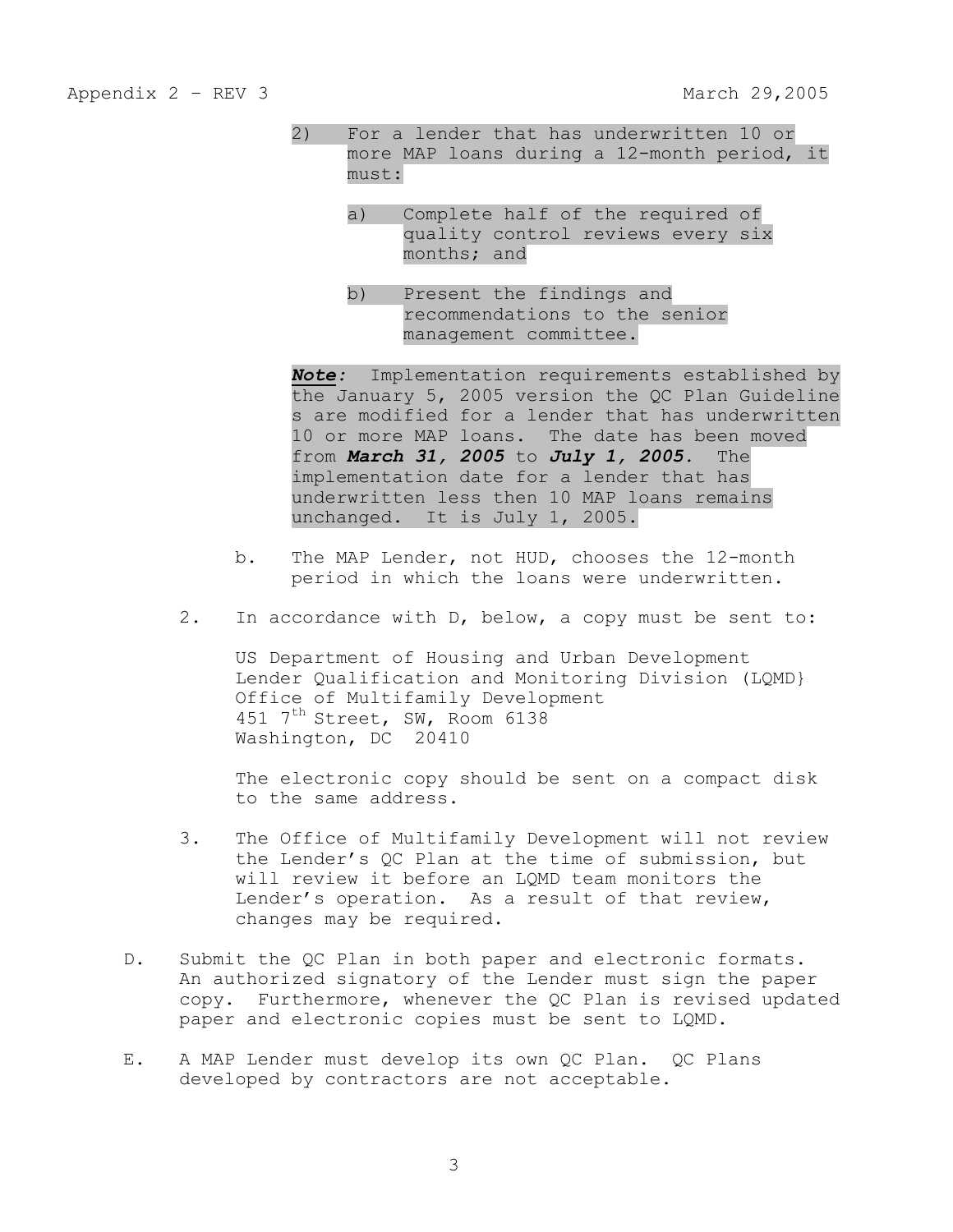- 2) For a lender that has underwritten 10 or more MAP loans during a 12-month period, it must:
	- a) Complete half of the required of quality control reviews every six months; and
	- b) Present the findings and recommendations to the senior management committee.

*Note:* Implementation requirements established by the January 5, 2005 version the QC Plan Guideline s are modified for a lender that has underwritten 10 or more MAP loans. The date has been moved from *March 31, 2005* to *July 1, 2005.* The implementation date for a lender that has underwritten less then 10 MAP loans remains unchanged. It is July 1, 2005.

- b. The MAP Lender, not HUD, chooses the 12-month period in which the loans were underwritten.
- 2. In accordance with D, below, a copy must be sent to:

US Department of Housing and Urban Development Lender Qualification and Monitoring Division (LQMD} Office of Multifamily Development 451 7<sup>th</sup> Street, SW, Room 6138 Washington, DC 20410

The electronic copy should be sent on a compact disk to the same address.

- 3. The Office of Multifamily Development will not review the Lender's QC Plan at the time of submission, but will review it before an LQMD team monitors the Lender's operation. As a result of that review, changes may be required.
- D. Submit the QC Plan in both paper and electronic formats. An authorized signatory of the Lender must sign the paper copy. Furthermore, whenever the QC Plan is revised updated paper and electronic copies must be sent to LQMD.
- E. A MAP Lender must develop its own QC Plan. QC Plans developed by contractors are not acceptable.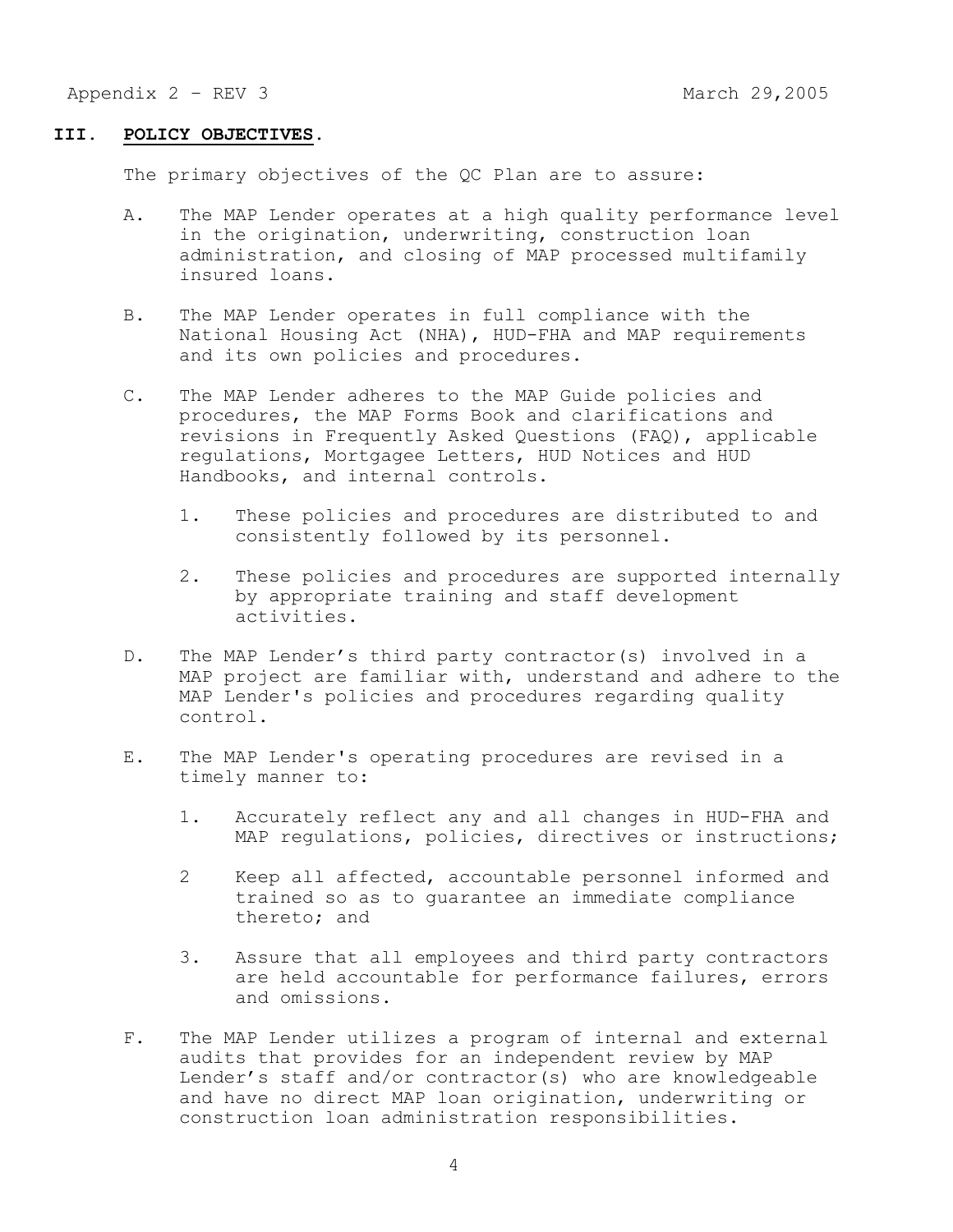#### **III. POLICY OBJECTIVES**.

The primary objectives of the QC Plan are to assure:

- A. The MAP Lender operates at a high quality performance level in the origination, underwriting, construction loan administration, and closing of MAP processed multifamily insured loans.
- B. The MAP Lender operates in full compliance with the National Housing Act (NHA), HUD-FHA and MAP requirements and its own policies and procedures.
- C. The MAP Lender adheres to the MAP Guide policies and procedures, the MAP Forms Book and clarifications and revisions in Frequently Asked Questions (FAQ), applicable regulations, Mortgagee Letters, HUD Notices and HUD Handbooks, and internal controls.
	- 1. These policies and procedures are distributed to and consistently followed by its personnel.
	- 2. These policies and procedures are supported internally by appropriate training and staff development activities.
- D. The MAP Lender's third party contractor(s) involved in a MAP project are familiar with, understand and adhere to the MAP Lender's policies and procedures regarding quality control.
- E. The MAP Lender's operating procedures are revised in a timely manner to:
	- 1. Accurately reflect any and all changes in HUD-FHA and MAP regulations, policies, directives or instructions;
	- 2 Keep all affected, accountable personnel informed and trained so as to guarantee an immediate compliance thereto; and
	- 3. Assure that all employees and third party contractors are held accountable for performance failures, errors and omissions.
- F. The MAP Lender utilizes a program of internal and external audits that provides for an independent review by MAP Lender's staff and/or contractor(s) who are knowledgeable and have no direct MAP loan origination, underwriting or construction loan administration responsibilities.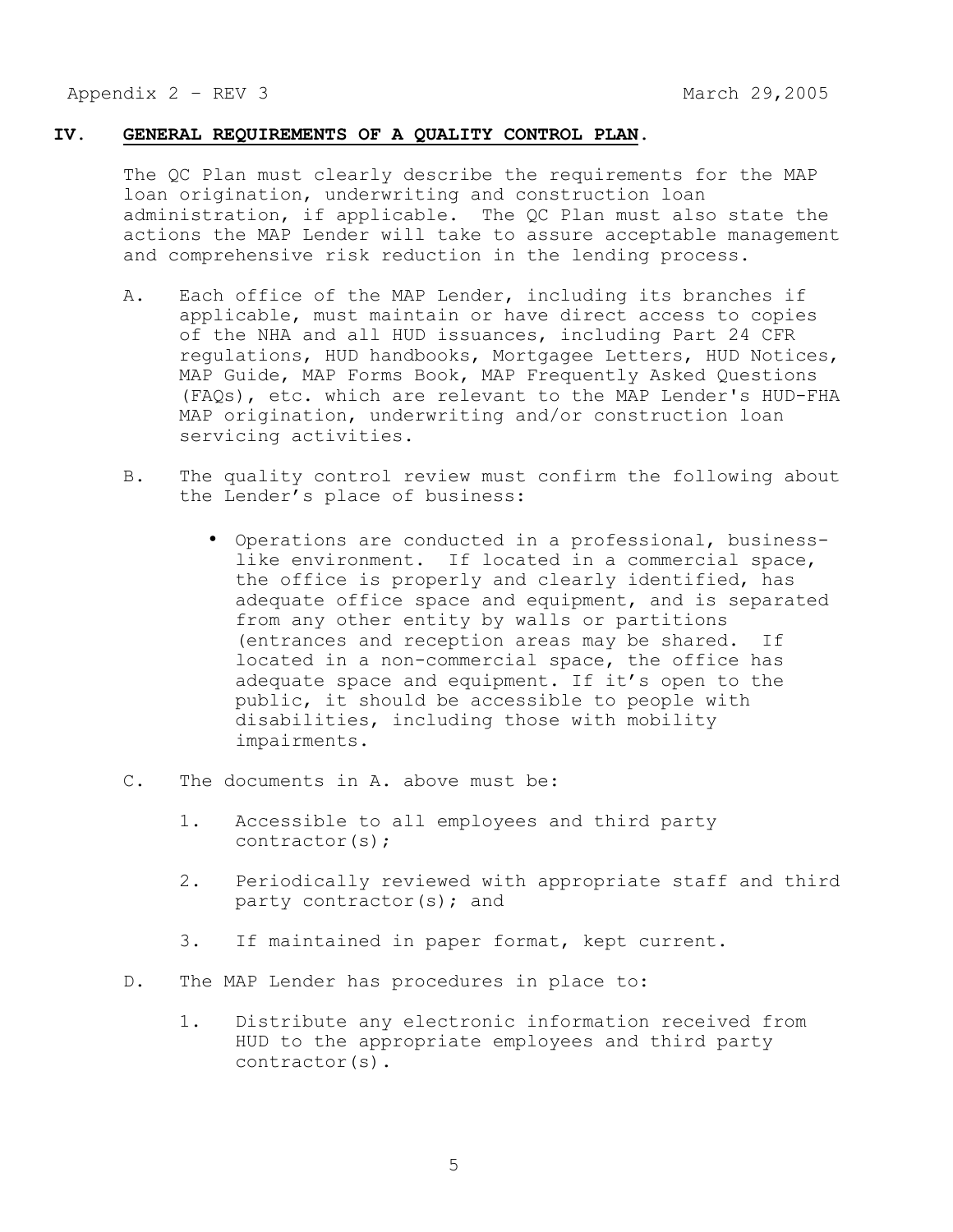#### **IV. GENERAL REQUIREMENTS OF A QUALITY CONTROL PLAN.**

The QC Plan must clearly describe the requirements for the MAP loan origination, underwriting and construction loan administration, if applicable. The QC Plan must also state the actions the MAP Lender will take to assure acceptable management and comprehensive risk reduction in the lending process.

- A. Each office of the MAP Lender, including its branches if applicable, must maintain or have direct access to copies of the NHA and all HUD issuances, including Part 24 CFR regulations, HUD handbooks, Mortgagee Letters, HUD Notices, MAP Guide, MAP Forms Book, MAP Frequently Asked Questions (FAQs), etc. which are relevant to the MAP Lender's HUD-FHA MAP origination, underwriting and/or construction loan servicing activities.
- B. The quality control review must confirm the following about the Lender's place of business:
	- Operations are conducted in a professional, businesslike environment. If located in a commercial space, the office is properly and clearly identified, has adequate office space and equipment, and is separated from any other entity by walls or partitions (entrances and reception areas may be shared. If located in a non-commercial space, the office has adequate space and equipment. If it's open to the public, it should be accessible to people with disabilities, including those with mobility impairments.
- C. The documents in A. above must be:
	- 1. Accessible to all employees and third party contractor(s);
	- 2. Periodically reviewed with appropriate staff and third party contractor(s); and
	- 3. If maintained in paper format, kept current.
- D. The MAP Lender has procedures in place to:
	- 1. Distribute any electronic information received from HUD to the appropriate employees and third party contractor(s).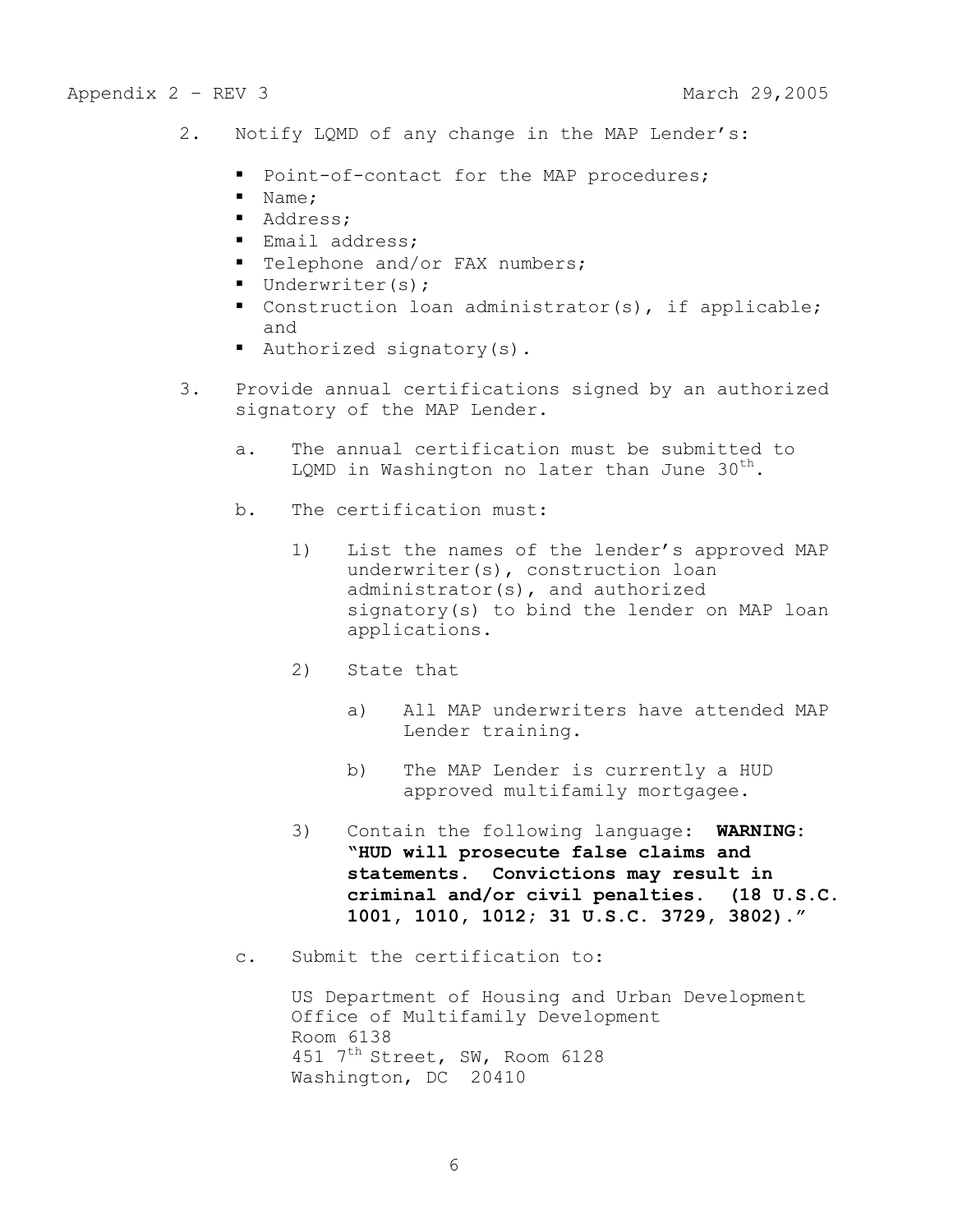- 2. Notify LQMD of any change in the MAP Lender's:
	- **Point-of-contact for the MAP procedures;**
	- Name;
	- **Address**;
	- **Example Email address;**
	- **Telephone and/or FAX numbers;**
	- Underwriter(s);
	- Construction loan administrator(s), if applicable; and
	- Authorized signatory(s).
- 3. Provide annual certifications signed by an authorized signatory of the MAP Lender.
	- a. The annual certification must be submitted to LQMD in Washington no later than June  $30^{th}$ .
	- b. The certification must:
		- 1) List the names of the lender's approved MAP underwriter(s), construction loan administrator(s), and authorized signatory(s) to bind the lender on MAP loan applications.
		- 2) State that
			- a) All MAP underwriters have attended MAP Lender training.
			- b) The MAP Lender is currently a HUD approved multifamily mortgagee.
		- 3) Contain the following language: **WARNING: "HUD will prosecute false claims and statements. Convictions may result in criminal and/or civil penalties. (18 U.S.C. 1001, 1010, 1012; 31 U.S.C. 3729, 3802)."**
	- c. Submit the certification to:

US Department of Housing and Urban Development Office of Multifamily Development Room 6138 451 7<sup>th</sup> Street, SW, Room 6128 Washington, DC 20410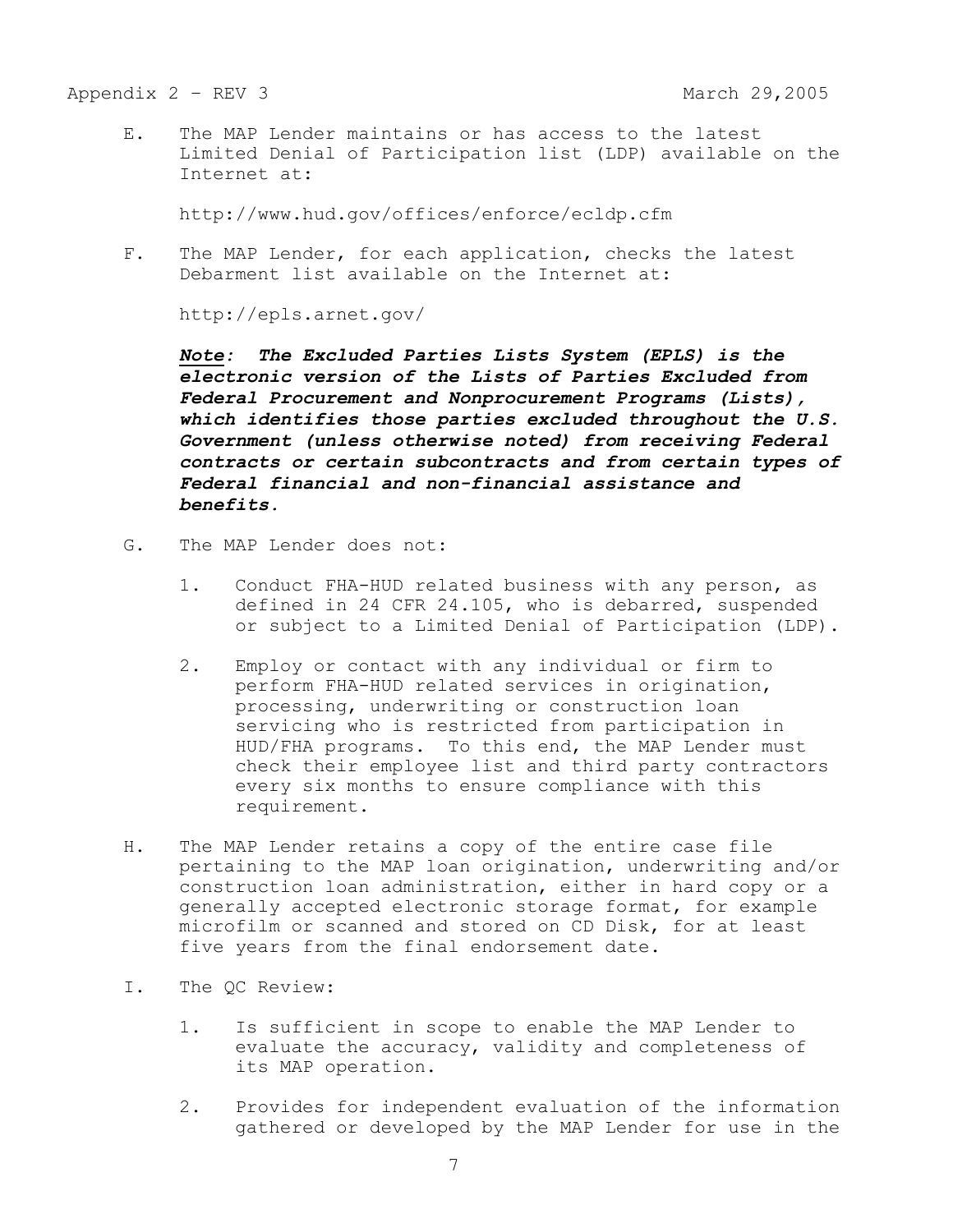E. The MAP Lender maintains or has access to the latest Limited Denial of Participation list (LDP) available on the Internet at:

http://www.hud.gov/offices/enforce/ecldp.cfm

F. The MAP Lender, for each application, checks the latest Debarment list available on the Internet at:

http://epls.arnet.gov/

*Note: The Excluded Parties Lists System (EPLS) is the electronic version of the Lists of Parties Excluded from Federal Procurement and Nonprocurement Programs (Lists), which identifies those parties excluded throughout the U.S. Government (unless otherwise noted) from receiving Federal contracts or certain subcontracts and from certain types of Federal financial and non-financial assistance and benefits.* 

- G. The MAP Lender does not:
	- 1. Conduct FHA-HUD related business with any person, as defined in 24 CFR 24.105, who is debarred, suspended or subject to a Limited Denial of Participation (LDP).
	- 2. Employ or contact with any individual or firm to perform FHA-HUD related services in origination, processing, underwriting or construction loan servicing who is restricted from participation in HUD/FHA programs. To this end, the MAP Lender must check their employee list and third party contractors every six months to ensure compliance with this requirement.
- H. The MAP Lender retains a copy of the entire case file pertaining to the MAP loan origination, underwriting and/or construction loan administration, either in hard copy or a generally accepted electronic storage format, for example microfilm or scanned and stored on CD Disk, for at least five years from the final endorsement date.
- I. The QC Review:
	- 1. Is sufficient in scope to enable the MAP Lender to evaluate the accuracy, validity and completeness of its MAP operation.
	- 2. Provides for independent evaluation of the information gathered or developed by the MAP Lender for use in the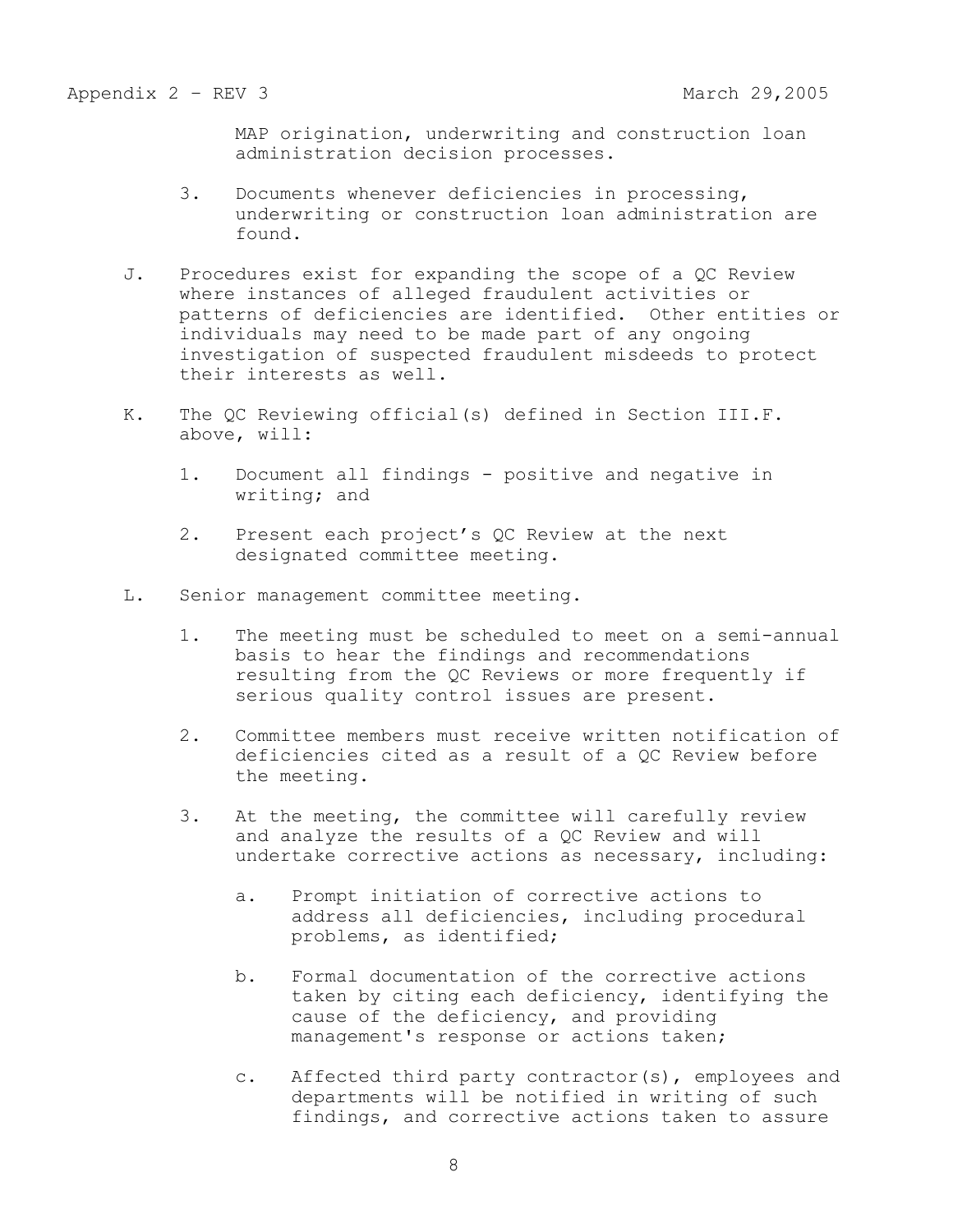MAP origination, underwriting and construction loan administration decision processes.

- 3. Documents whenever deficiencies in processing, underwriting or construction loan administration are found.
- J. Procedures exist for expanding the scope of a QC Review where instances of alleged fraudulent activities or patterns of deficiencies are identified. Other entities or individuals may need to be made part of any ongoing investigation of suspected fraudulent misdeeds to protect their interests as well.
- K. The QC Reviewing official(s) defined in Section III.F. above, will:
	- 1. Document all findings positive and negative in writing; and
	- 2. Present each project's QC Review at the next designated committee meeting.
- L. Senior management committee meeting.
	- 1. The meeting must be scheduled to meet on a semi-annual basis to hear the findings and recommendations resulting from the QC Reviews or more frequently if serious quality control issues are present.
	- 2. Committee members must receive written notification of deficiencies cited as a result of a QC Review before the meeting.
	- 3. At the meeting, the committee will carefully review and analyze the results of a QC Review and will undertake corrective actions as necessary, including:
		- a. Prompt initiation of corrective actions to address all deficiencies, including procedural problems, as identified;
		- b. Formal documentation of the corrective actions taken by citing each deficiency, identifying the cause of the deficiency, and providing management's response or actions taken;
		- c. Affected third party contractor(s), employees and departments will be notified in writing of such findings, and corrective actions taken to assure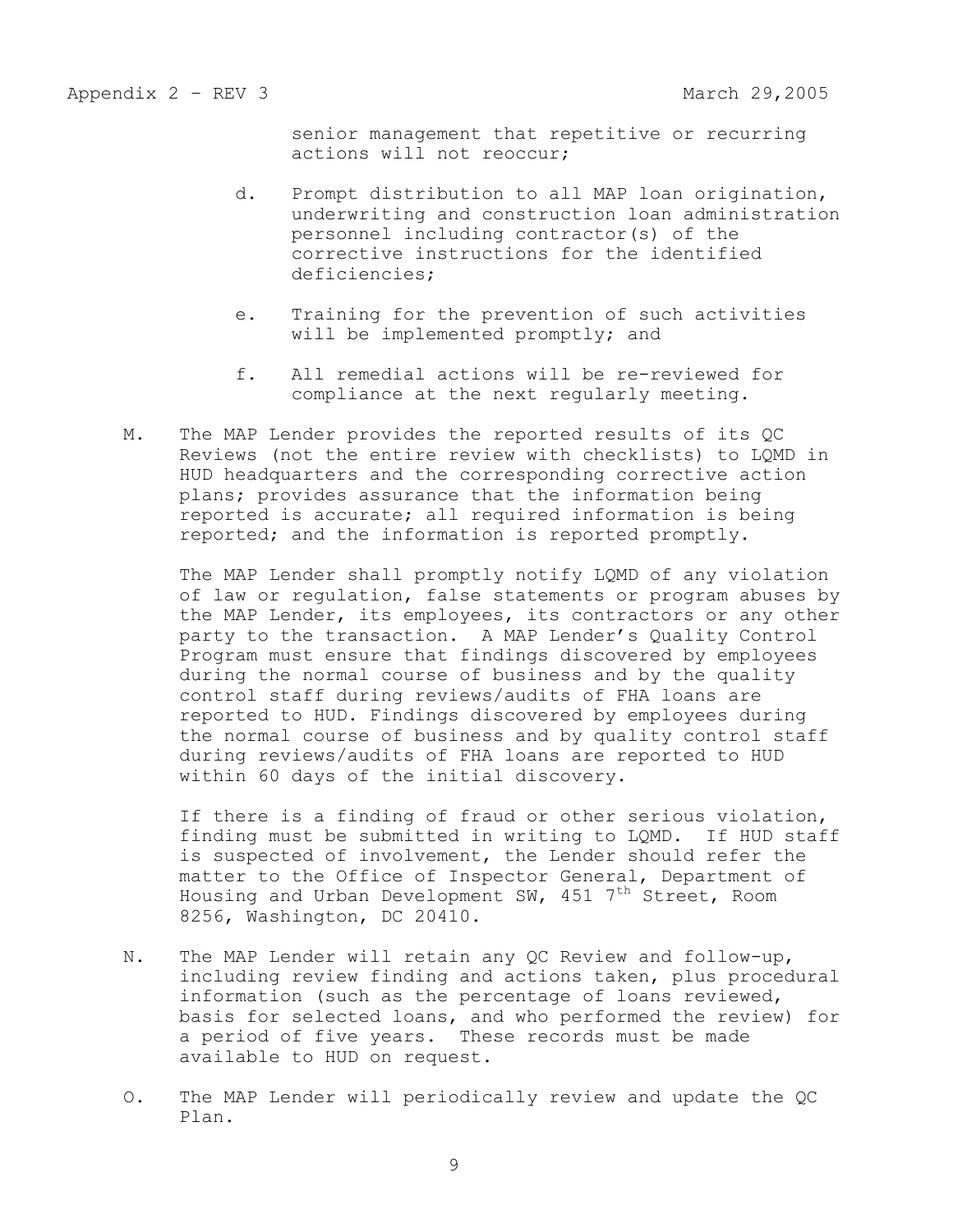senior management that repetitive or recurring actions will not reoccur;

- d. Prompt distribution to all MAP loan origination, underwriting and construction loan administration personnel including contractor(s) of the corrective instructions for the identified deficiencies;
- e. Training for the prevention of such activities will be implemented promptly; and
- f. All remedial actions will be re-reviewed for compliance at the next regularly meeting.
- M. The MAP Lender provides the reported results of its QC Reviews (not the entire review with checklists) to LQMD in HUD headquarters and the corresponding corrective action plans; provides assurance that the information being reported is accurate; all required information is being reported; and the information is reported promptly.

The MAP Lender shall promptly notify LQMD of any violation of law or regulation, false statements or program abuses by the MAP Lender, its employees, its contractors or any other party to the transaction. A MAP Lender's Quality Control Program must ensure that findings discovered by employees during the normal course of business and by the quality control staff during reviews/audits of FHA loans are reported to HUD. Findings discovered by employees during the normal course of business and by quality control staff during reviews/audits of FHA loans are reported to HUD within 60 days of the initial discovery.

If there is a finding of fraud or other serious violation, finding must be submitted in writing to LQMD. If HUD staff is suspected of involvement, the Lender should refer the matter to the Office of Inspector General, Department of Housing and Urban Development SW, 451  $7<sup>th</sup>$  Street, Room 8256, Washington, DC 20410.

- N. The MAP Lender will retain any QC Review and follow-up, including review finding and actions taken, plus procedural information (such as the percentage of loans reviewed, basis for selected loans, and who performed the review) for a period of five years. These records must be made available to HUD on request.
- O. The MAP Lender will periodically review and update the QC Plan.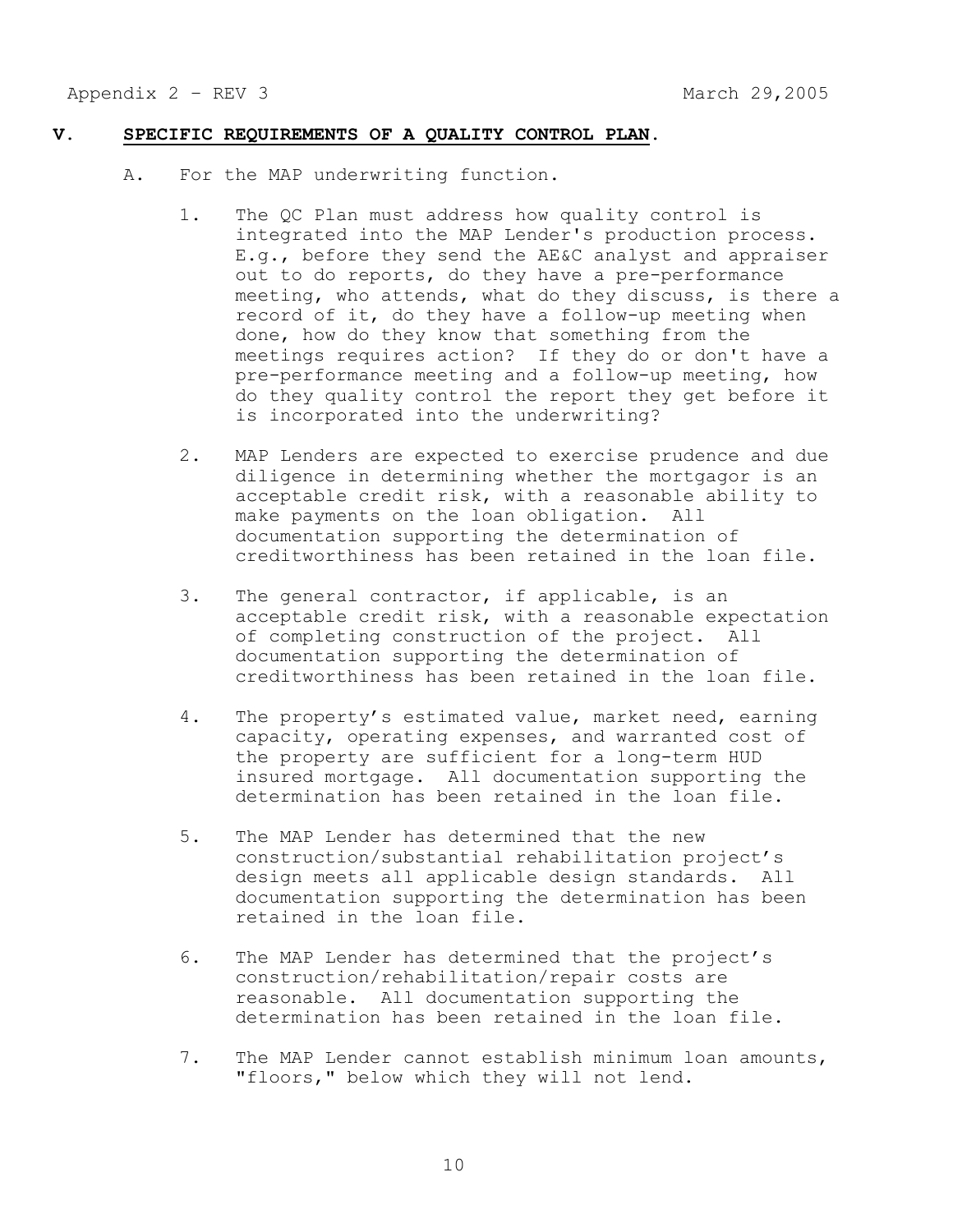#### **V. SPECIFIC REQUIREMENTS OF A QUALITY CONTROL PLAN.**

- A. For the MAP underwriting function.
	- 1. The QC Plan must address how quality control is integrated into the MAP Lender's production process. E.g., before they send the AE&C analyst and appraiser out to do reports, do they have a pre-performance meeting, who attends, what do they discuss, is there a record of it, do they have a follow-up meeting when done, how do they know that something from the meetings requires action? If they do or don't have a pre-performance meeting and a follow-up meeting, how do they quality control the report they get before it is incorporated into the underwriting?
	- 2. MAP Lenders are expected to exercise prudence and due diligence in determining whether the mortgagor is an acceptable credit risk, with a reasonable ability to make payments on the loan obligation. All documentation supporting the determination of creditworthiness has been retained in the loan file.
	- 3. The general contractor, if applicable, is an acceptable credit risk, with a reasonable expectation of completing construction of the project. All documentation supporting the determination of creditworthiness has been retained in the loan file.
	- 4. The property's estimated value, market need, earning capacity, operating expenses, and warranted cost of the property are sufficient for a long-term HUD insured mortgage. All documentation supporting the determination has been retained in the loan file.
	- 5. The MAP Lender has determined that the new construction/substantial rehabilitation project's design meets all applicable design standards. All documentation supporting the determination has been retained in the loan file.
	- 6. The MAP Lender has determined that the project's construction/rehabilitation/repair costs are reasonable. All documentation supporting the determination has been retained in the loan file.
	- 7. The MAP Lender cannot establish minimum loan amounts, "floors," below which they will not lend.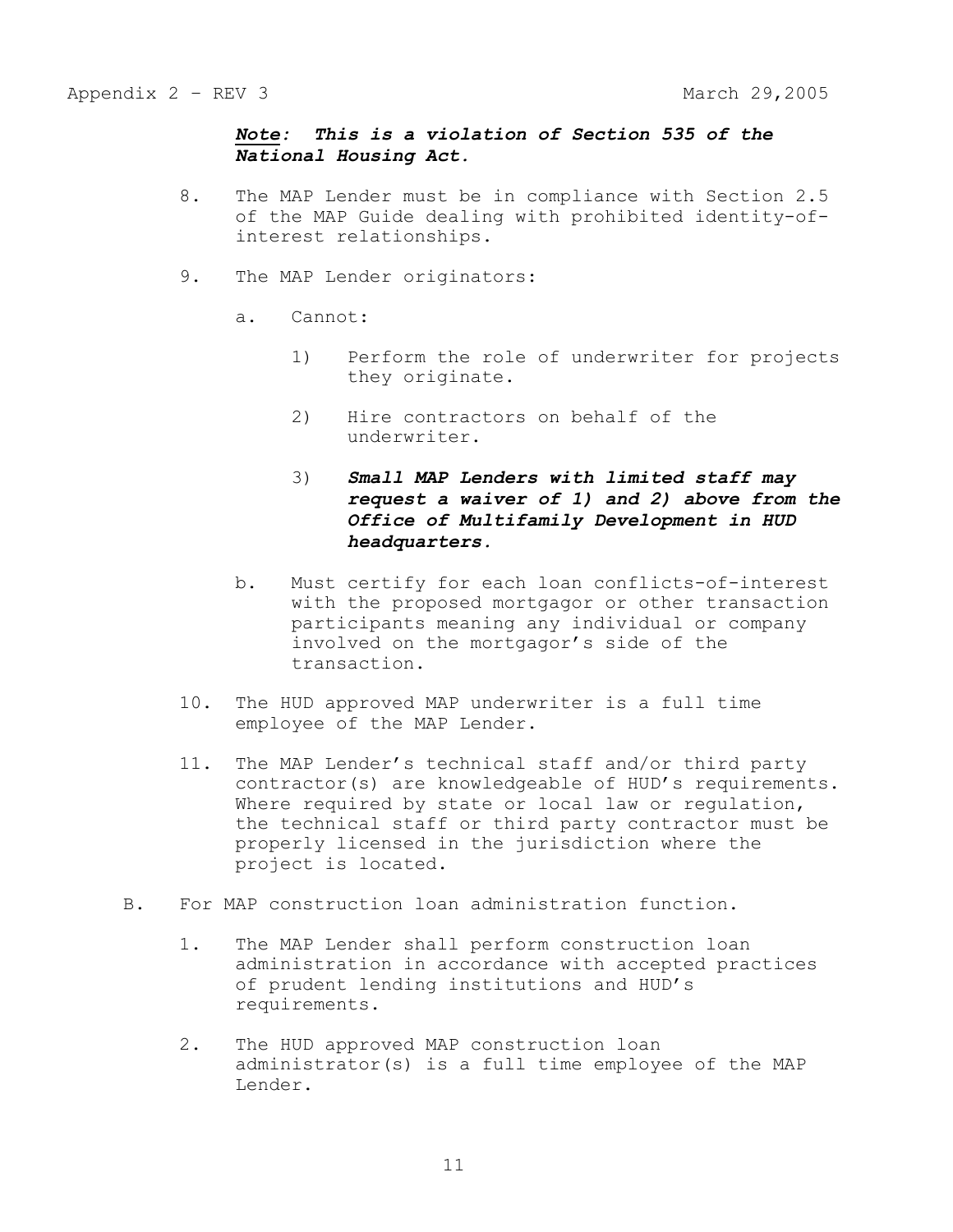# *Note: This is a violation of Section 535 of the National Housing Act.*

- 8. The MAP Lender must be in compliance with Section 2.5 of the MAP Guide dealing with prohibited identity-ofinterest relationships.
- 9. The MAP Lender originators:
	- a. Cannot:
		- 1) Perform the role of underwriter for projects they originate.
		- 2) Hire contractors on behalf of the underwriter.
		- 3) *Small MAP Lenders with limited staff may request a waiver of 1) and 2) above from the Office of Multifamily Development in HUD headquarters.*
	- b. Must certify for each loan conflicts-of-interest with the proposed mortgagor or other transaction participants meaning any individual or company involved on the mortgagor's side of the transaction.
- 10. The HUD approved MAP underwriter is a full time employee of the MAP Lender.
- 11. The MAP Lender's technical staff and/or third party contractor(s) are knowledgeable of HUD's requirements. Where required by state or local law or regulation, the technical staff or third party contractor must be properly licensed in the jurisdiction where the project is located.
- B. For MAP construction loan administration function.
	- 1. The MAP Lender shall perform construction loan administration in accordance with accepted practices of prudent lending institutions and HUD's requirements.
	- 2. The HUD approved MAP construction loan administrator(s) is a full time employee of the MAP Lender.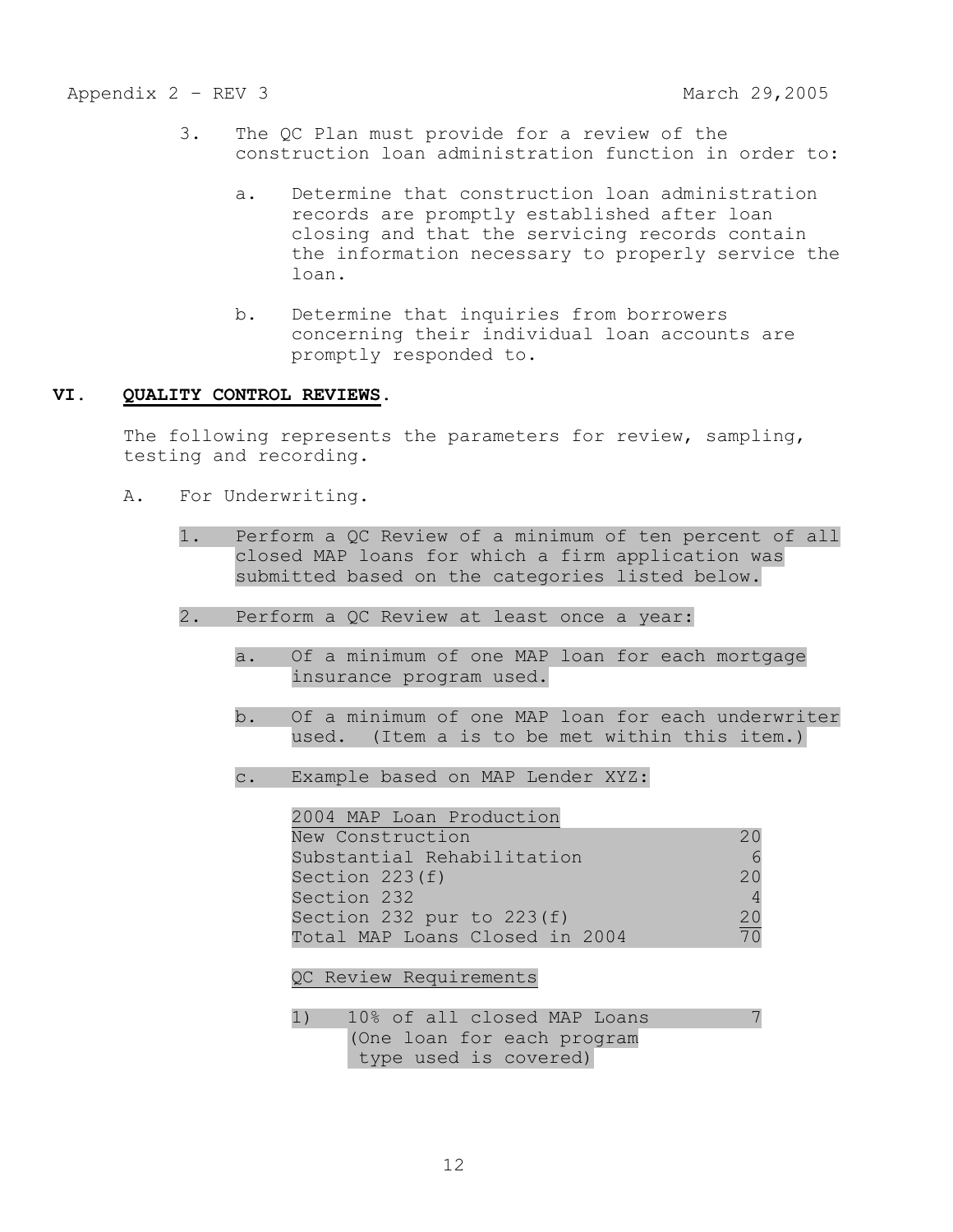- 3. The QC Plan must provide for a review of the construction loan administration function in order to:
	- a. Determine that construction loan administration records are promptly established after loan closing and that the servicing records contain the information necessary to properly service the loan.
	- b. Determine that inquiries from borrowers concerning their individual loan accounts are promptly responded to.

#### **VI. QUALITY CONTROL REVIEWS.**

The following represents the parameters for review, sampling, testing and recording.

- A. For Underwriting.
	- 1. Perform a QC Review of a minimum of ten percent of all closed MAP loans for which a firm application was submitted based on the categories listed below.
	- 2. Perform a QC Review at least once a year:
		- a. Of a minimum of one MAP loan for each mortgage insurance program used.
		- b. Of a minimum of one MAP loan for each underwriter used. (Item a is to be met within this item.)
		- c. Example based on MAP Lender XYZ:

| 2004 MAP Loan Production       |                 |  |  |
|--------------------------------|-----------------|--|--|
| New Construction               |                 |  |  |
| Substantial Rehabilitation     |                 |  |  |
| Section $223(f)$               | 20              |  |  |
| Section 232                    |                 |  |  |
| Section 232 pur to $223(f)$    | $\frac{20}{70}$ |  |  |
| Total MAP Loans Closed in 2004 |                 |  |  |

QC Review Requirements

1) 10% of all closed MAP Loans (One loan for each program type used is covered)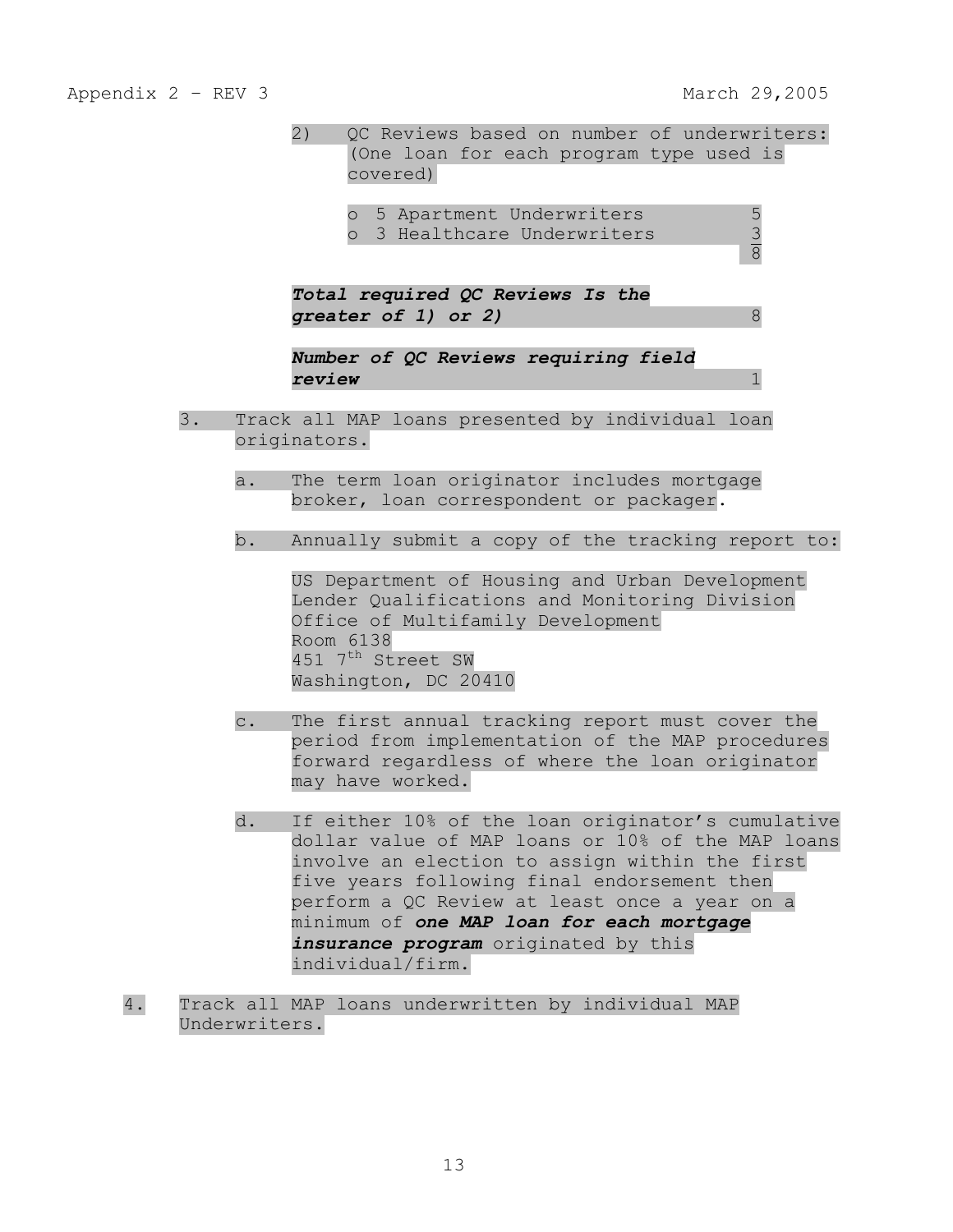8

- 2) QC Reviews based on number of underwriters: (One loan for each program type used is covered)
	- o 5 Apartment Underwriters 5<br>
	o 3 Healthcare Underwriters 3 o 3 Healthcare Underwriters
		-

*Total required QC Reviews Is the greater of 1) or 2)* 8

*Number of QC Reviews requiring field review* 1

- 3. Track all MAP loans presented by individual loan originators.
	- a. The term loan originator includes mortgage broker, loan correspondent or packager.
	- b. Annually submit a copy of the tracking report to:

US Department of Housing and Urban Development Lender Qualifications and Monitoring Division Office of Multifamily Development Room 6138 451 7<sup>th</sup> Street SW Washington, DC 20410

- c. The first annual tracking report must cover the period from implementation of the MAP procedures forward regardless of where the loan originator may have worked.
- d. If either 10% of the loan originator's cumulative dollar value of MAP loans or 10% of the MAP loans involve an election to assign within the first five years following final endorsement then perform a QC Review at least once a year on a minimum of *one MAP loan for each mortgage insurance program* originated by this individual/firm.
- 4. Track all MAP loans underwritten by individual MAP Underwriters.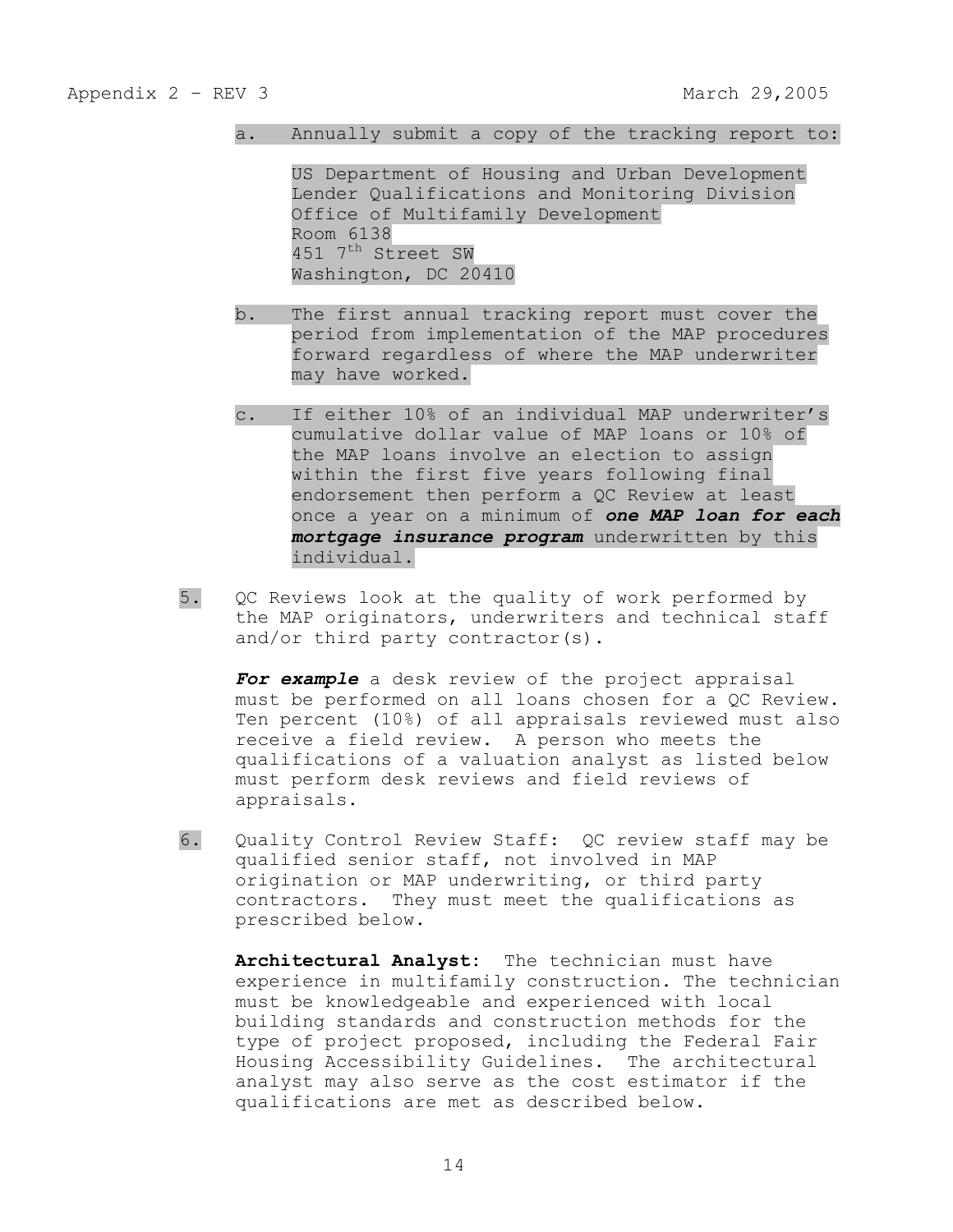#### a. Annually submit a copy of the tracking report to:

US Department of Housing and Urban Development Lender Qualifications and Monitoring Division Office of Multifamily Development Room 6138 451 7<sup>th</sup> Street SW Washington, DC 20410

- b. The first annual tracking report must cover the period from implementation of the MAP procedures forward regardless of where the MAP underwriter may have worked.
- c. If either 10% of an individual MAP underwriter's cumulative dollar value of MAP loans or 10% of the MAP loans involve an election to assign within the first five years following final endorsement then perform a QC Review at least once a year on a minimum of *one MAP loan for each mortgage insurance program* underwritten by this individual.
- 5. QC Reviews look at the quality of work performed by the MAP originators, underwriters and technical staff and/or third party contractor(s).

For example a desk review of the project appraisal must be performed on all loans chosen for a QC Review. Ten percent (10%) of all appraisals reviewed must also receive a field review. A person who meets the qualifications of a valuation analyst as listed below must perform desk reviews and field reviews of appraisals.

6. Quality Control Review Staff: QC review staff may be qualified senior staff, not involved in MAP origination or MAP underwriting, or third party contractors. They must meet the qualifications as prescribed below.

**Architectural Analyst:** The technician must have experience in multifamily construction. The technician must be knowledgeable and experienced with local building standards and construction methods for the type of project proposed, including the Federal Fair Housing Accessibility Guidelines. The architectural analyst may also serve as the cost estimator if the qualifications are met as described below.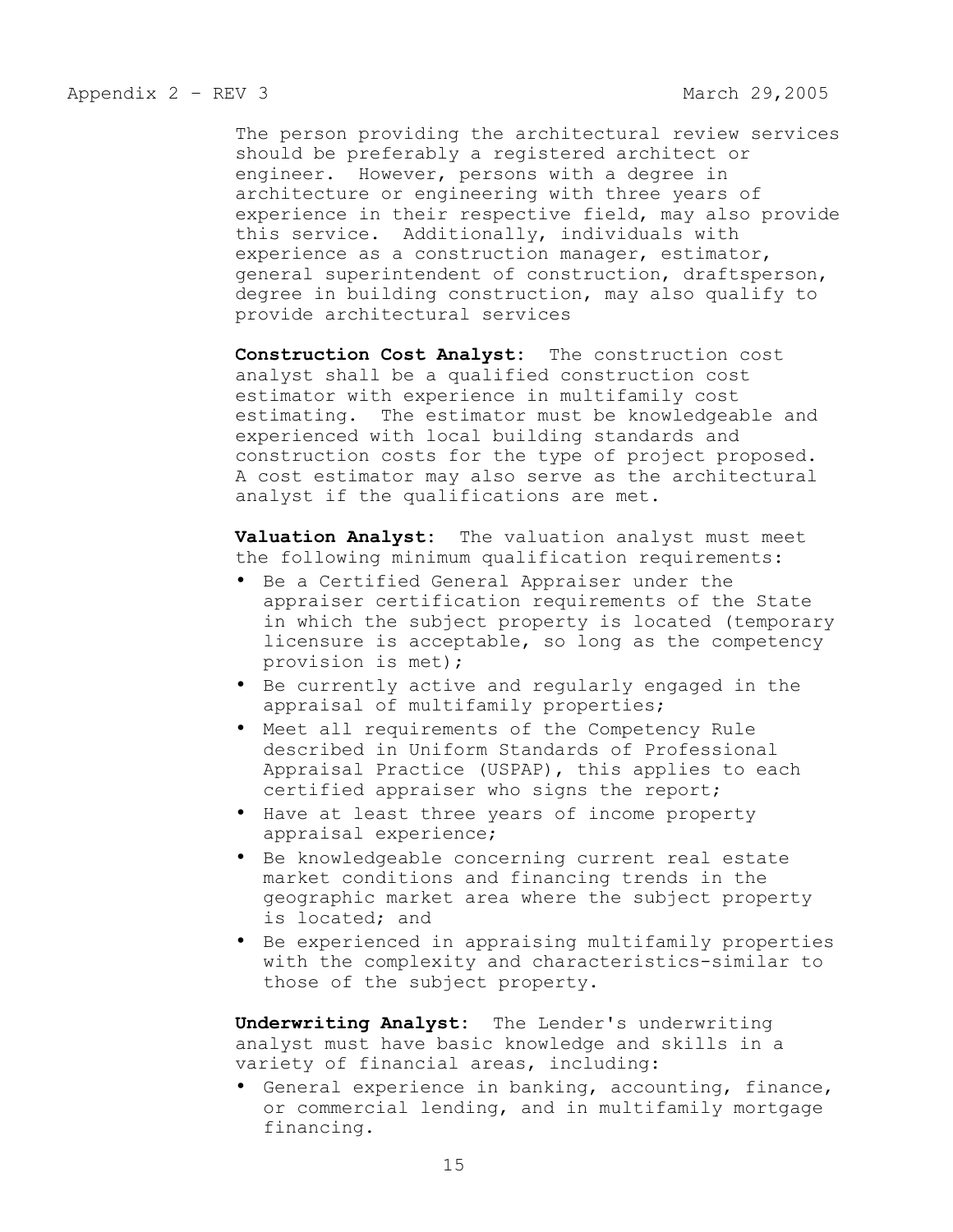The person providing the architectural review services should be preferably a registered architect or engineer. However, persons with a degree in architecture or engineering with three years of experience in their respective field, may also provide this service. Additionally, individuals with experience as a construction manager, estimator, general superintendent of construction, draftsperson, degree in building construction, may also qualify to provide architectural services

**Construction Cost Analyst:** The construction cost analyst shall be a qualified construction cost estimator with experience in multifamily cost estimating. The estimator must be knowledgeable and experienced with local building standards and construction costs for the type of project proposed. A cost estimator may also serve as the architectural analyst if the qualifications are met.

**Valuation Analyst:** The valuation analyst must meet the following minimum qualification requirements:

- Be a Certified General Appraiser under the appraiser certification requirements of the State in which the subject property is located (temporary licensure is acceptable, so long as the competency provision is met);
- Be currently active and regularly engaged in the appraisal of multifamily properties;
- Meet all requirements of the Competency Rule described in Uniform Standards of Professional Appraisal Practice (USPAP), this applies to each certified appraiser who signs the report;
- Have at least three years of income property appraisal experience;
- Be knowledgeable concerning current real estate market conditions and financing trends in the geographic market area where the subject property is located; and
- Be experienced in appraising multifamily properties with the complexity and characteristics-similar to those of the subject property.

**Underwriting Analyst:** The Lender's underwriting analyst must have basic knowledge and skills in a variety of financial areas, including:

• General experience in banking, accounting, finance, or commercial lending, and in multifamily mortgage financing.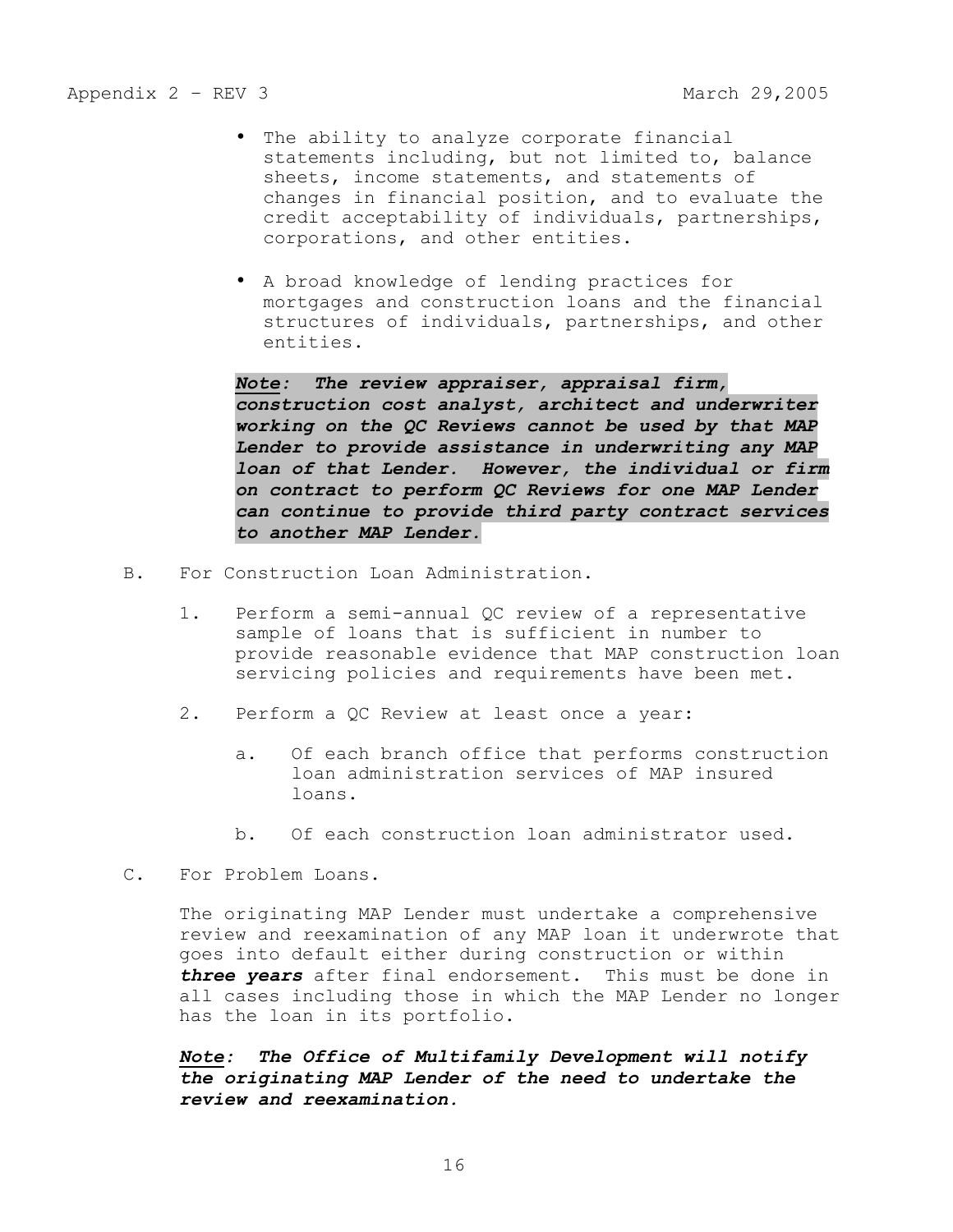- The ability to analyze corporate financial statements including, but not limited to, balance sheets, income statements, and statements of changes in financial position, and to evaluate the credit acceptability of individuals, partnerships, corporations, and other entities.
- A broad knowledge of lending practices for mortgages and construction loans and the financial structures of individuals, partnerships, and other entities.

*Note: The review appraiser, appraisal firm, construction cost analyst, architect and underwriter working on the QC Reviews cannot be used by that MAP Lender to provide assistance in underwriting any MAP loan of that Lender. However, the individual or firm on contract to perform QC Reviews for one MAP Lender can continue to provide third party contract services to another MAP Lender.* 

- B. For Construction Loan Administration.
	- 1. Perform a semi-annual QC review of a representative sample of loans that is sufficient in number to provide reasonable evidence that MAP construction loan servicing policies and requirements have been met.
	- 2. Perform a QC Review at least once a year:
		- a. Of each branch office that performs construction loan administration services of MAP insured loans.
		- b. Of each construction loan administrator used.
- C. For Problem Loans.

The originating MAP Lender must undertake a comprehensive review and reexamination of any MAP loan it underwrote that goes into default either during construction or within *three years* after final endorsement. This must be done in all cases including those in which the MAP Lender no longer has the loan in its portfolio.

*Note: The Office of Multifamily Development will notify the originating MAP Lender of the need to undertake the review and reexamination.*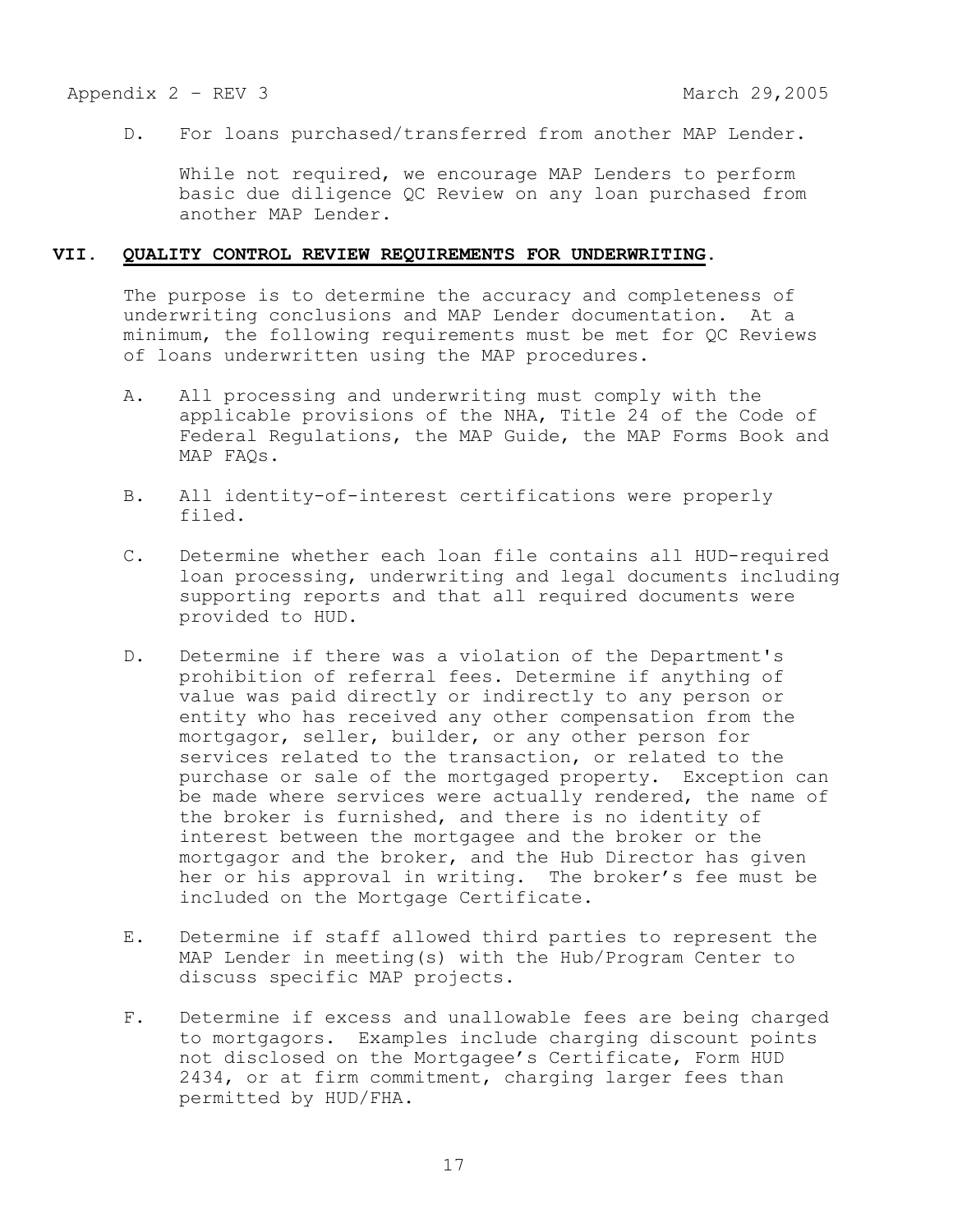D. For loans purchased/transferred from another MAP Lender.

While not required, we encourage MAP Lenders to perform basic due diligence QC Review on any loan purchased from another MAP Lender.

#### **VII. QUALITY CONTROL REVIEW REQUIREMENTS FOR UNDERWRITING.**

The purpose is to determine the accuracy and completeness of underwriting conclusions and MAP Lender documentation. At a minimum, the following requirements must be met for QC Reviews of loans underwritten using the MAP procedures.

- A. All processing and underwriting must comply with the applicable provisions of the NHA, Title 24 of the Code of Federal Regulations, the MAP Guide, the MAP Forms Book and MAP FAQs.
- B. All identity-of-interest certifications were properly filed.
- C. Determine whether each loan file contains all HUD-required loan processing, underwriting and legal documents including supporting reports and that all required documents were provided to HUD.
- D. Determine if there was a violation of the Department's prohibition of referral fees. Determine if anything of value was paid directly or indirectly to any person or entity who has received any other compensation from the mortgagor, seller, builder, or any other person for services related to the transaction, or related to the purchase or sale of the mortgaged property. Exception can be made where services were actually rendered, the name of the broker is furnished, and there is no identity of interest between the mortgagee and the broker or the mortgagor and the broker, and the Hub Director has given her or his approval in writing. The broker's fee must be included on the Mortgage Certificate.
- E. Determine if staff allowed third parties to represent the MAP Lender in meeting(s) with the Hub/Program Center to discuss specific MAP projects.
- F. Determine if excess and unallowable fees are being charged to mortgagors. Examples include charging discount points not disclosed on the Mortgagee's Certificate, Form HUD 2434, or at firm commitment, charging larger fees than permitted by HUD/FHA.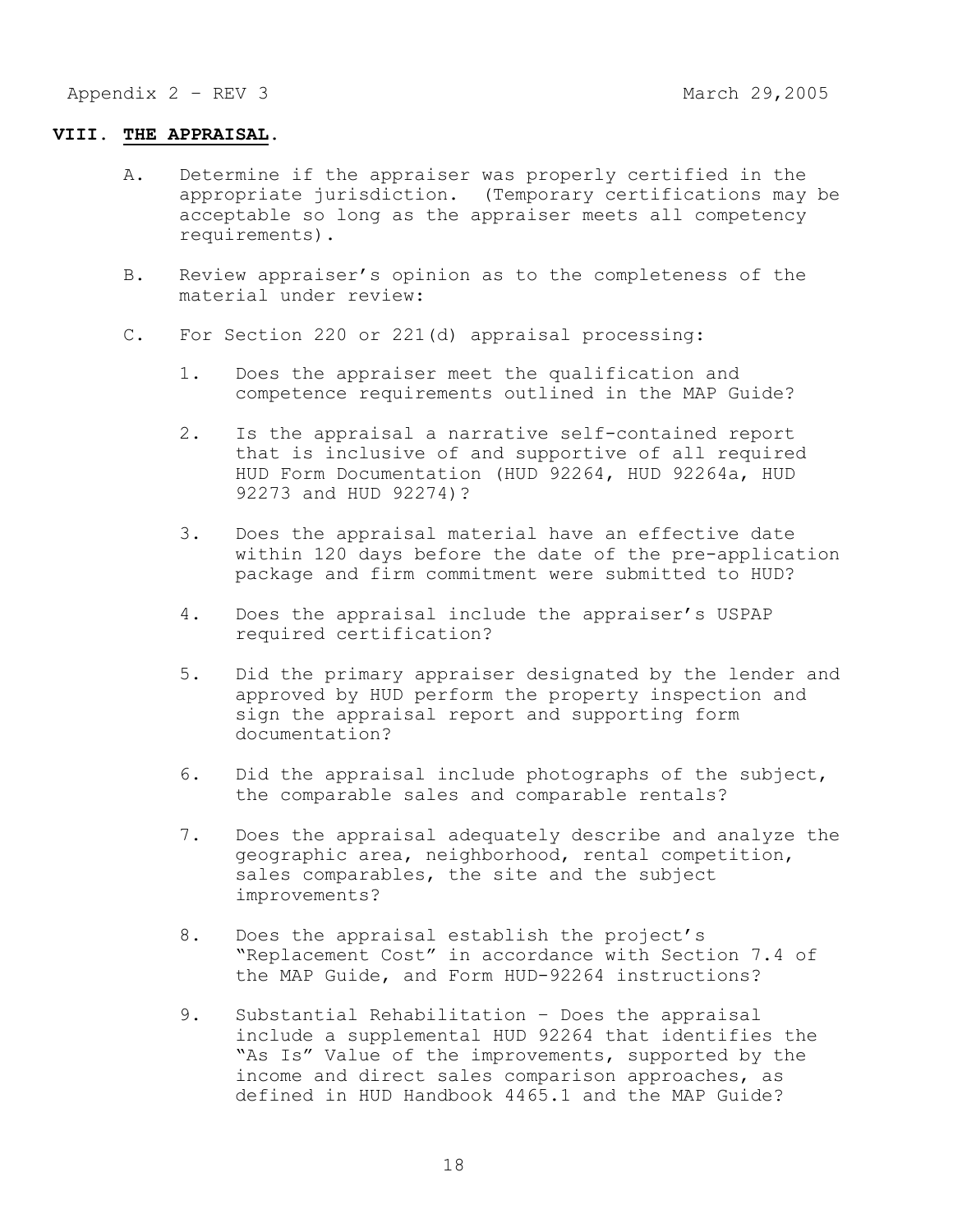#### **VIII. THE APPRAISAL.**

- A. Determine if the appraiser was properly certified in the appropriate jurisdiction. (Temporary certifications may be acceptable so long as the appraiser meets all competency requirements).
- B. Review appraiser's opinion as to the completeness of the material under review:
- C. For Section 220 or 221(d) appraisal processing:
	- 1. Does the appraiser meet the qualification and competence requirements outlined in the MAP Guide?
	- 2. Is the appraisal a narrative self-contained report that is inclusive of and supportive of all required HUD Form Documentation (HUD 92264, HUD 92264a, HUD 92273 and HUD 92274)?
	- 3. Does the appraisal material have an effective date within 120 days before the date of the pre-application package and firm commitment were submitted to HUD?
	- 4. Does the appraisal include the appraiser's USPAP required certification?
	- 5. Did the primary appraiser designated by the lender and approved by HUD perform the property inspection and sign the appraisal report and supporting form documentation?
	- 6. Did the appraisal include photographs of the subject, the comparable sales and comparable rentals?
	- 7. Does the appraisal adequately describe and analyze the geographic area, neighborhood, rental competition, sales comparables, the site and the subject improvements?
	- 8. Does the appraisal establish the project's "Replacement Cost" in accordance with Section 7.4 of the MAP Guide, and Form HUD-92264 instructions?
	- 9. Substantial Rehabilitation Does the appraisal include a supplemental HUD 92264 that identifies the "As Is" Value of the improvements, supported by the income and direct sales comparison approaches, as defined in HUD Handbook 4465.1 and the MAP Guide?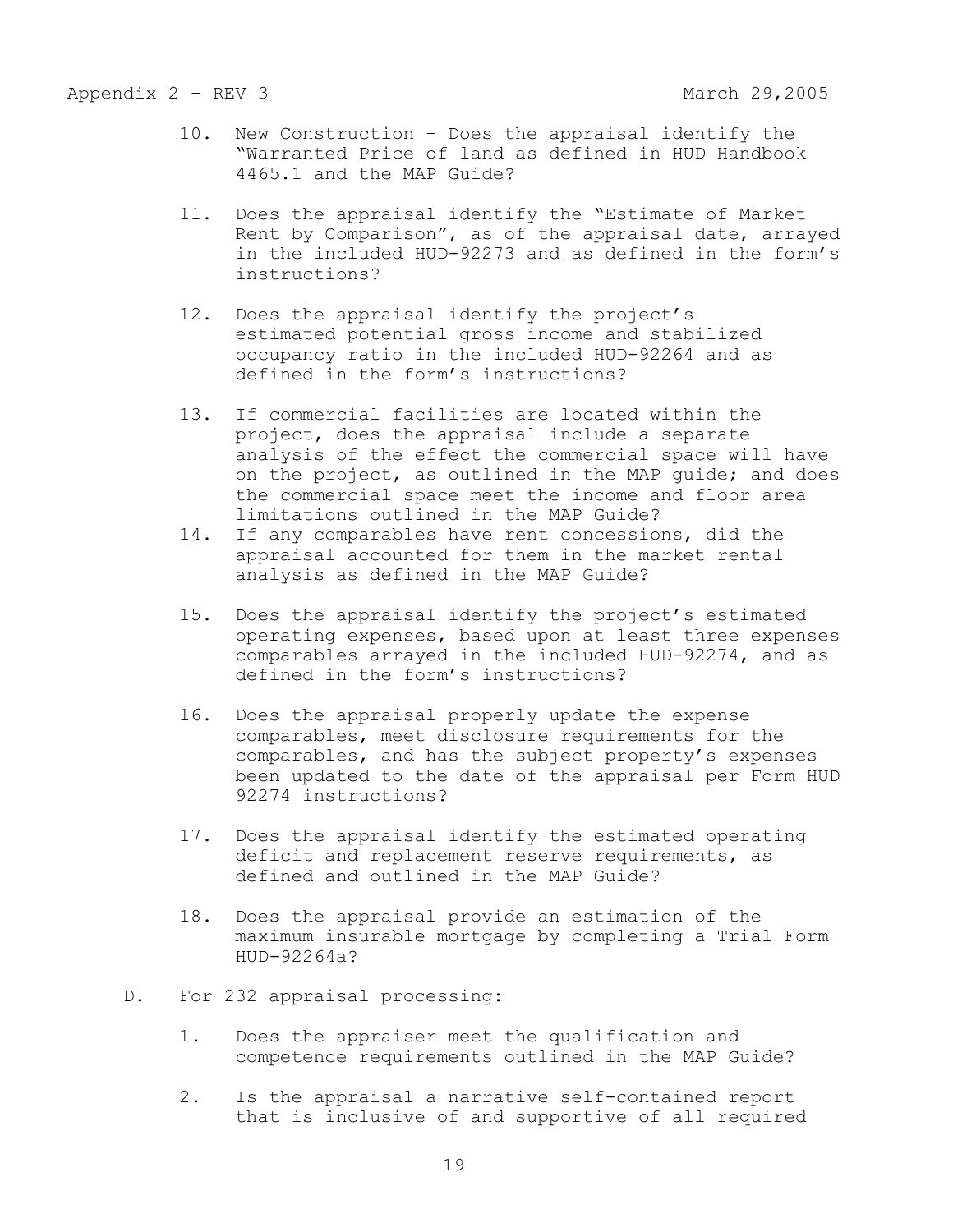- 10. New Construction Does the appraisal identify the "Warranted Price of land as defined in HUD Handbook 4465.1 and the MAP Guide?
- 11. Does the appraisal identify the "Estimate of Market Rent by Comparison", as of the appraisal date, arrayed in the included HUD-92273 and as defined in the form's instructions?
- 12. Does the appraisal identify the project's estimated potential gross income and stabilized occupancy ratio in the included HUD-92264 and as defined in the form's instructions?
- 13. If commercial facilities are located within the project, does the appraisal include a separate analysis of the effect the commercial space will have on the project, as outlined in the MAP guide; and does the commercial space meet the income and floor area limitations outlined in the MAP Guide?
- 14. If any comparables have rent concessions, did the appraisal accounted for them in the market rental analysis as defined in the MAP Guide?
- 15. Does the appraisal identify the project's estimated operating expenses, based upon at least three expenses comparables arrayed in the included HUD-92274, and as defined in the form's instructions?
- 16. Does the appraisal properly update the expense comparables, meet disclosure requirements for the comparables, and has the subject property's expenses been updated to the date of the appraisal per Form HUD 92274 instructions?
- 17. Does the appraisal identify the estimated operating deficit and replacement reserve requirements, as defined and outlined in the MAP Guide?
- 18. Does the appraisal provide an estimation of the maximum insurable mortgage by completing a Trial Form HUD-92264a?
- D. For 232 appraisal processing:
	- 1. Does the appraiser meet the qualification and competence requirements outlined in the MAP Guide?
	- 2. Is the appraisal a narrative self-contained report that is inclusive of and supportive of all required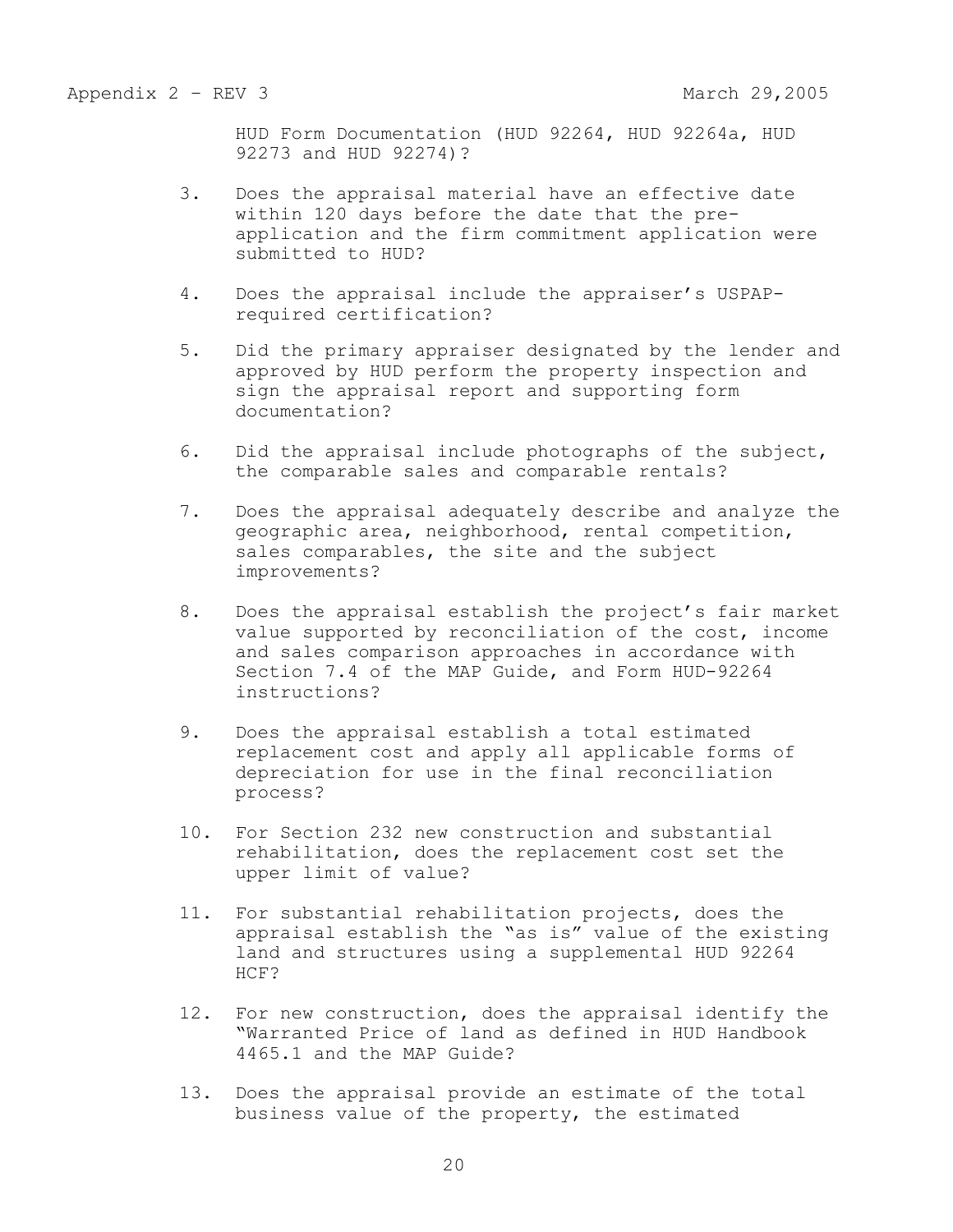HUD Form Documentation (HUD 92264, HUD 92264a, HUD 92273 and HUD 92274)?

- 3. Does the appraisal material have an effective date within 120 days before the date that the preapplication and the firm commitment application were submitted to HUD?
- 4. Does the appraisal include the appraiser's USPAPrequired certification?
- 5. Did the primary appraiser designated by the lender and approved by HUD perform the property inspection and sign the appraisal report and supporting form documentation?
- 6. Did the appraisal include photographs of the subject, the comparable sales and comparable rentals?
- 7. Does the appraisal adequately describe and analyze the geographic area, neighborhood, rental competition, sales comparables, the site and the subject improvements?
- 8. Does the appraisal establish the project's fair market value supported by reconciliation of the cost, income and sales comparison approaches in accordance with Section 7.4 of the MAP Guide, and Form HUD-92264 instructions?
- 9. Does the appraisal establish a total estimated replacement cost and apply all applicable forms of depreciation for use in the final reconciliation process?
- 10. For Section 232 new construction and substantial rehabilitation, does the replacement cost set the upper limit of value?
- 11. For substantial rehabilitation projects, does the appraisal establish the "as is" value of the existing land and structures using a supplemental HUD 92264 HCF?
- 12. For new construction, does the appraisal identify the "Warranted Price of land as defined in HUD Handbook 4465.1 and the MAP Guide?
- 13. Does the appraisal provide an estimate of the total business value of the property, the estimated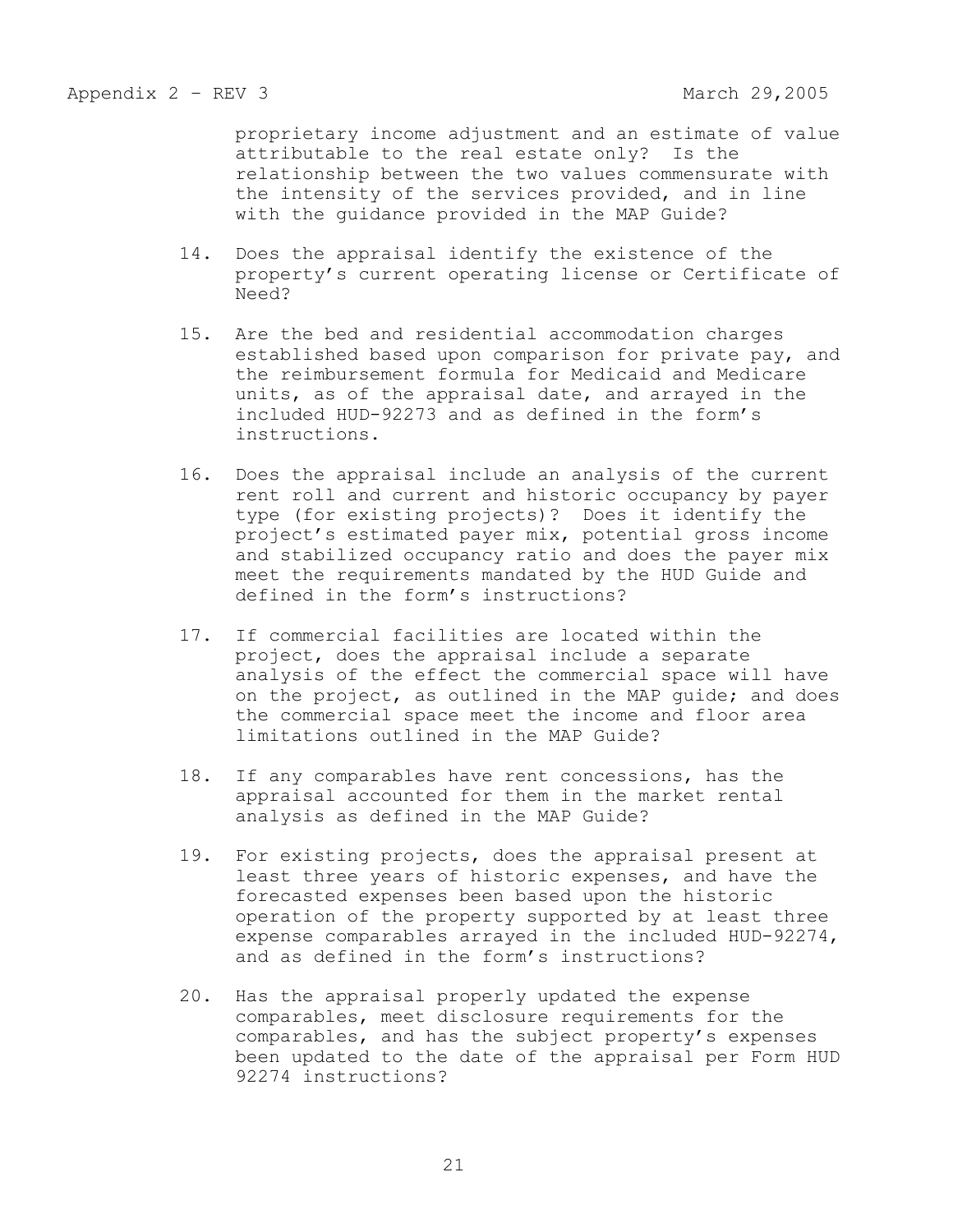proprietary income adjustment and an estimate of value attributable to the real estate only? Is the relationship between the two values commensurate with the intensity of the services provided, and in line with the guidance provided in the MAP Guide?

- 14. Does the appraisal identify the existence of the property's current operating license or Certificate of Need?
- 15. Are the bed and residential accommodation charges established based upon comparison for private pay, and the reimbursement formula for Medicaid and Medicare units, as of the appraisal date, and arrayed in the included HUD-92273 and as defined in the form's instructions.
- 16. Does the appraisal include an analysis of the current rent roll and current and historic occupancy by payer type (for existing projects)? Does it identify the project's estimated payer mix, potential gross income and stabilized occupancy ratio and does the payer mix meet the requirements mandated by the HUD Guide and defined in the form's instructions?
- 17. If commercial facilities are located within the project, does the appraisal include a separate analysis of the effect the commercial space will have on the project, as outlined in the MAP guide; and does the commercial space meet the income and floor area limitations outlined in the MAP Guide?
- 18. If any comparables have rent concessions, has the appraisal accounted for them in the market rental analysis as defined in the MAP Guide?
- 19. For existing projects, does the appraisal present at least three years of historic expenses, and have the forecasted expenses been based upon the historic operation of the property supported by at least three expense comparables arrayed in the included HUD-92274, and as defined in the form's instructions?
- 20. Has the appraisal properly updated the expense comparables, meet disclosure requirements for the comparables, and has the subject property's expenses been updated to the date of the appraisal per Form HUD 92274 instructions?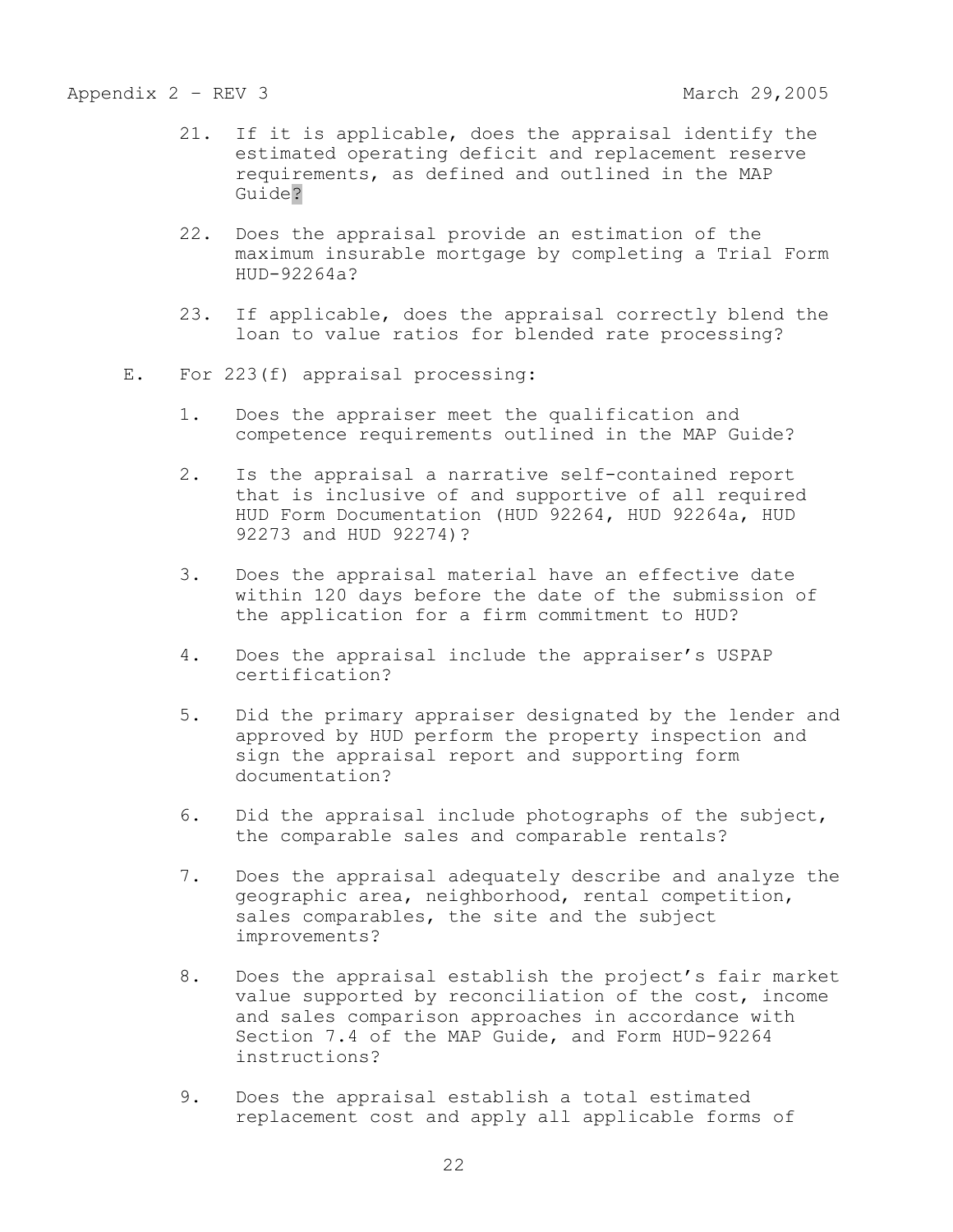- 21. If it is applicable, does the appraisal identify the estimated operating deficit and replacement reserve requirements, as defined and outlined in the MAP Guide?
- 22. Does the appraisal provide an estimation of the maximum insurable mortgage by completing a Trial Form HUD-92264a?
- 23. If applicable, does the appraisal correctly blend the loan to value ratios for blended rate processing?
- E. For 223(f) appraisal processing:
	- 1. Does the appraiser meet the qualification and competence requirements outlined in the MAP Guide?
	- 2. Is the appraisal a narrative self-contained report that is inclusive of and supportive of all required HUD Form Documentation (HUD 92264, HUD 92264a, HUD 92273 and HUD 92274)?
	- 3. Does the appraisal material have an effective date within 120 days before the date of the submission of the application for a firm commitment to HUD?
	- 4. Does the appraisal include the appraiser's USPAP certification?
	- 5. Did the primary appraiser designated by the lender and approved by HUD perform the property inspection and sign the appraisal report and supporting form documentation?
	- 6. Did the appraisal include photographs of the subject, the comparable sales and comparable rentals?
	- 7. Does the appraisal adequately describe and analyze the geographic area, neighborhood, rental competition, sales comparables, the site and the subject improvements?
	- 8. Does the appraisal establish the project's fair market value supported by reconciliation of the cost, income and sales comparison approaches in accordance with Section 7.4 of the MAP Guide, and Form HUD-92264 instructions?
	- 9. Does the appraisal establish a total estimated replacement cost and apply all applicable forms of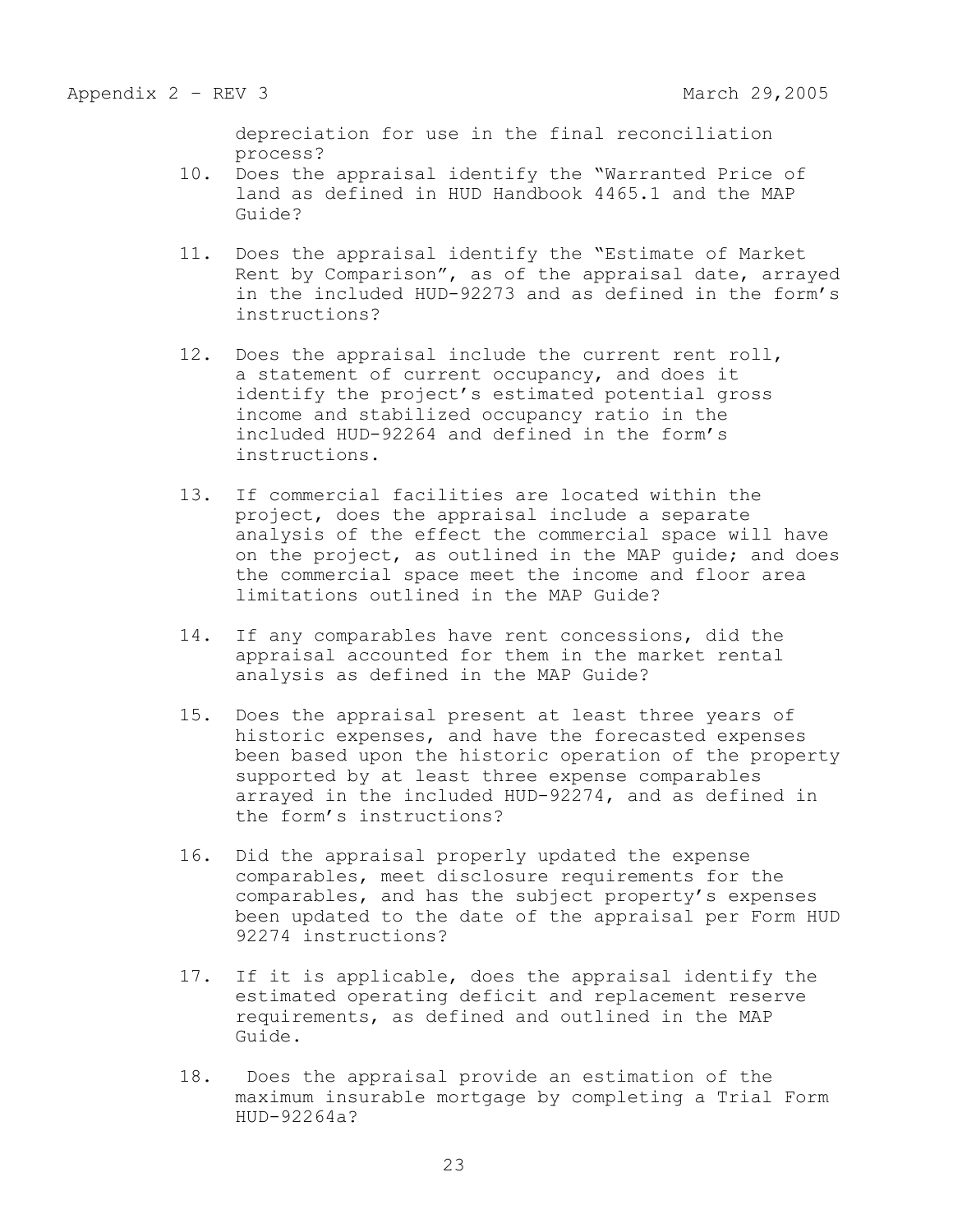depreciation for use in the final reconciliation process?

- 10. Does the appraisal identify the "Warranted Price of land as defined in HUD Handbook 4465.1 and the MAP Guide?
- 11. Does the appraisal identify the "Estimate of Market Rent by Comparison", as of the appraisal date, arrayed in the included HUD-92273 and as defined in the form's instructions?
- 12. Does the appraisal include the current rent roll, a statement of current occupancy, and does it identify the project's estimated potential gross income and stabilized occupancy ratio in the included HUD-92264 and defined in the form's instructions.
- 13. If commercial facilities are located within the project, does the appraisal include a separate analysis of the effect the commercial space will have on the project, as outlined in the MAP guide; and does the commercial space meet the income and floor area limitations outlined in the MAP Guide?
- 14. If any comparables have rent concessions, did the appraisal accounted for them in the market rental analysis as defined in the MAP Guide?
- 15. Does the appraisal present at least three years of historic expenses, and have the forecasted expenses been based upon the historic operation of the property supported by at least three expense comparables arrayed in the included HUD-92274, and as defined in the form's instructions?
- 16. Did the appraisal properly updated the expense comparables, meet disclosure requirements for the comparables, and has the subject property's expenses been updated to the date of the appraisal per Form HUD 92274 instructions?
- 17. If it is applicable, does the appraisal identify the estimated operating deficit and replacement reserve requirements, as defined and outlined in the MAP Guide.
- 18. Does the appraisal provide an estimation of the maximum insurable mortgage by completing a Trial Form HUD-92264a?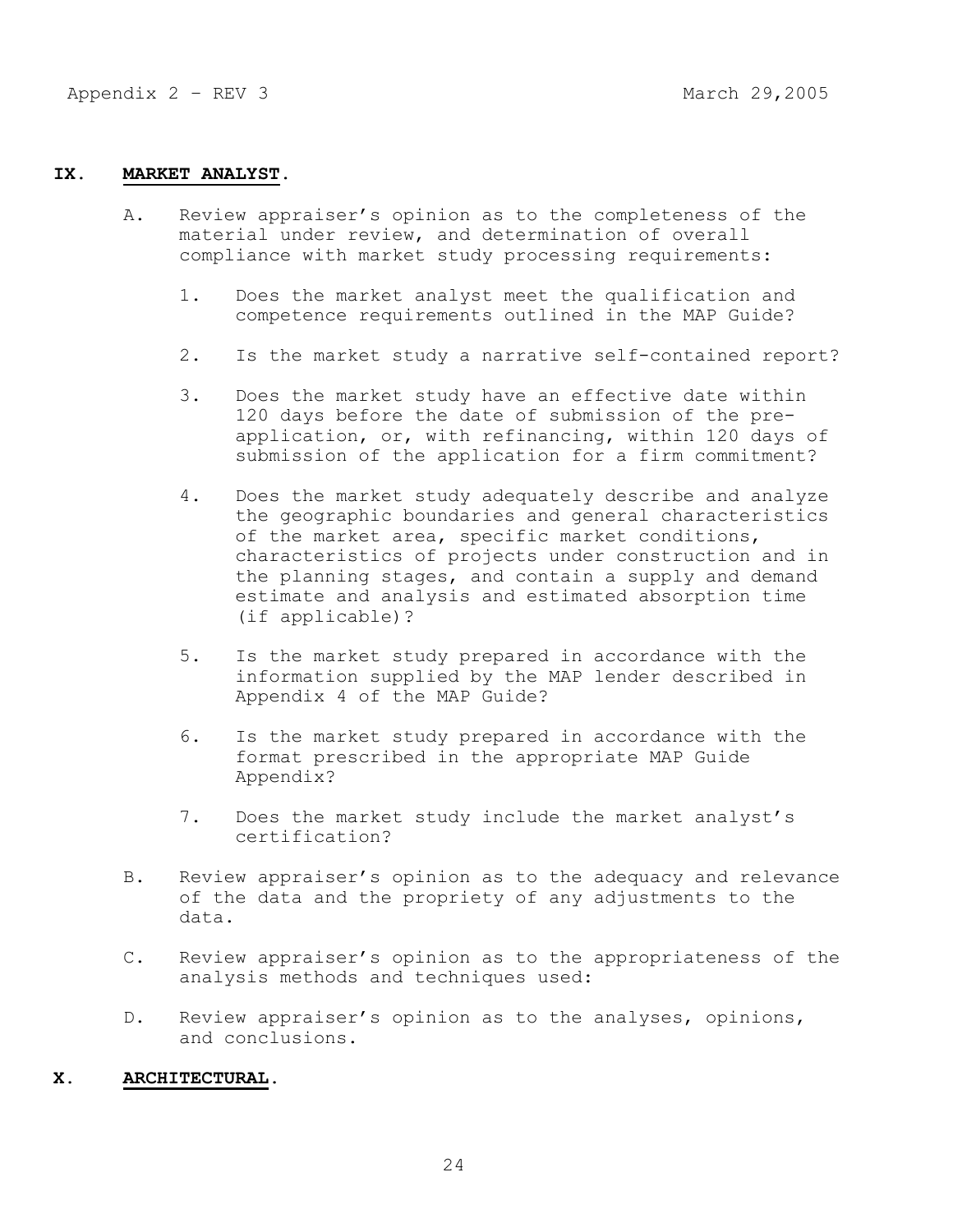## **IX. MARKET ANALYST.**

- A. Review appraiser's opinion as to the completeness of the material under review, and determination of overall compliance with market study processing requirements:
	- 1. Does the market analyst meet the qualification and competence requirements outlined in the MAP Guide?
	- 2. Is the market study a narrative self-contained report?
	- 3. Does the market study have an effective date within 120 days before the date of submission of the preapplication, or, with refinancing, within 120 days of submission of the application for a firm commitment?
	- 4. Does the market study adequately describe and analyze the geographic boundaries and general characteristics of the market area, specific market conditions, characteristics of projects under construction and in the planning stages, and contain a supply and demand estimate and analysis and estimated absorption time (if applicable)?
	- 5. Is the market study prepared in accordance with the information supplied by the MAP lender described in Appendix 4 of the MAP Guide?
	- 6. Is the market study prepared in accordance with the format prescribed in the appropriate MAP Guide Appendix?
	- 7. Does the market study include the market analyst's certification?
- B. Review appraiser's opinion as to the adequacy and relevance of the data and the propriety of any adjustments to the data.
- C. Review appraiser's opinion as to the appropriateness of the analysis methods and techniques used:
- D. Review appraiser's opinion as to the analyses, opinions, and conclusions.

# **X. ARCHITECTURAL.**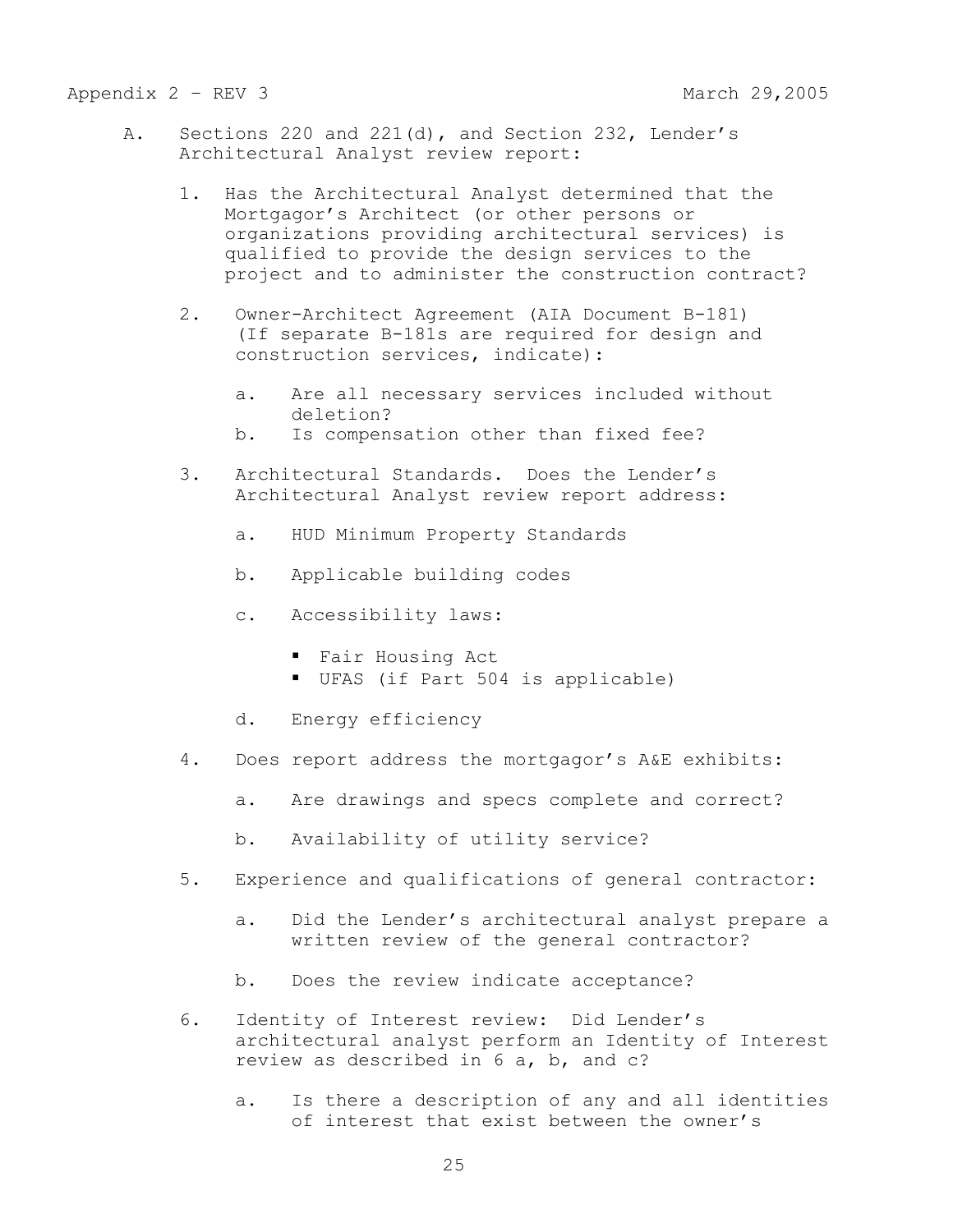- A. Sections 220 and 221(d), and Section 232, Lender's Architectural Analyst review report:
	- 1. Has the Architectural Analyst determined that the Mortgagor's Architect (or other persons or organizations providing architectural services) is qualified to provide the design services to the project and to administer the construction contract?
	- 2. Owner-Architect Agreement (AIA Document B-181) (If separate B-181s are required for design and construction services, indicate):
		- a. Are all necessary services included without deletion?
		- b. Is compensation other than fixed fee?
	- 3. Architectural Standards. Does the Lender's Architectural Analyst review report address:
		- a. HUD Minimum Property Standards
		- b. Applicable building codes
		- c. Accessibility laws:
			- Fair Housing Act
			- UFAS (if Part 504 is applicable)
		- d. Energy efficiency
	- 4. Does report address the mortgagor's A&E exhibits:
		- a. Are drawings and specs complete and correct?
		- b. Availability of utility service?
	- 5. Experience and qualifications of general contractor:
		- a. Did the Lender's architectural analyst prepare a written review of the general contractor?
		- b. Does the review indicate acceptance?
	- 6. Identity of Interest review: Did Lender's architectural analyst perform an Identity of Interest review as described in 6 a, b, and c?
		- a. Is there a description of any and all identities of interest that exist between the owner's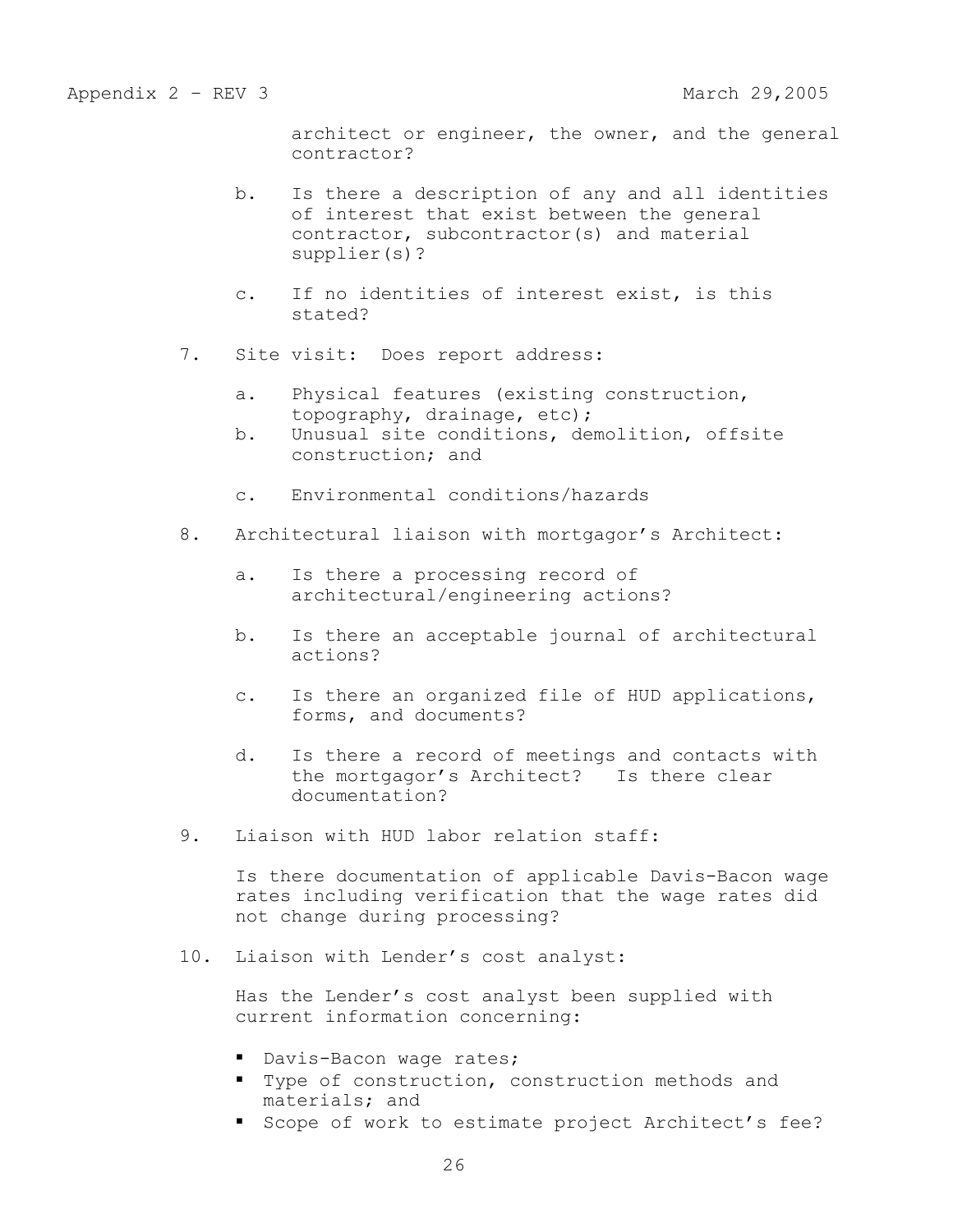architect or engineer, the owner, and the general contractor?

- b. Is there a description of any and all identities of interest that exist between the general contractor, subcontractor(s) and material supplier(s)?
- c. If no identities of interest exist, is this stated?
- 7. Site visit: Does report address:
	- a. Physical features (existing construction, topography, drainage, etc);
	- b. Unusual site conditions, demolition, offsite construction; and
	- c. Environmental conditions/hazards
- 8. Architectural liaison with mortgagor's Architect:
	- a. Is there a processing record of architectural/engineering actions?
	- b. Is there an acceptable journal of architectural actions?
	- c. Is there an organized file of HUD applications, forms, and documents?
	- d. Is there a record of meetings and contacts with the mortgagor's Architect? Is there clear documentation?
- 9. Liaison with HUD labor relation staff:

Is there documentation of applicable Davis-Bacon wage rates including verification that the wage rates did not change during processing?

10. Liaison with Lender's cost analyst:

Has the Lender's cost analyst been supplied with current information concerning:

- Davis-Bacon wage rates;
- Type of construction, construction methods and materials; and
- Scope of work to estimate project Architect's fee?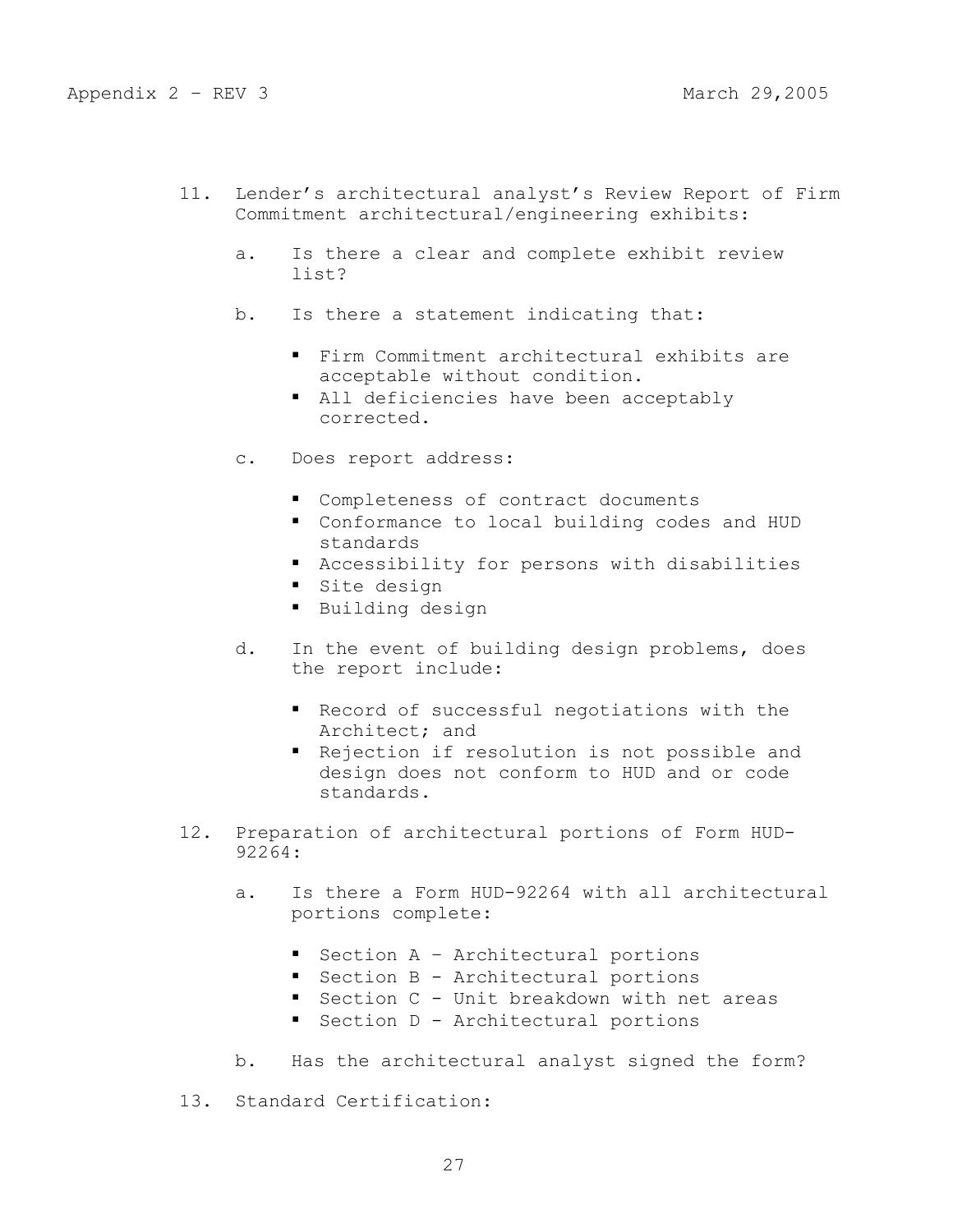- 11. Lender's architectural analyst's Review Report of Firm Commitment architectural/engineering exhibits:
	- a. Is there a clear and complete exhibit review list?
	- b. Is there a statement indicating that:
		- Firm Commitment architectural exhibits are acceptable without condition.
		- All deficiencies have been acceptably corrected.
	- c. Does report address:
		- Completeness of contract documents
		- Conformance to local building codes and HUD standards
		- Accessibility for persons with disabilities
		- Site design
		- Building design
	- d. In the event of building design problems, does the report include:
		- Record of successful negotiations with the Architect; and
		- Rejection if resolution is not possible and design does not conform to HUD and or code standards.
- 12. Preparation of architectural portions of Form HUD-92264:
	- a. Is there a Form HUD-92264 with all architectural portions complete:
		- **Section A Architectural portions**
		- Section B Architectural portions
		- Section C Unit breakdown with net areas
		- Section D Architectural portions
	- b. Has the architectural analyst signed the form?
- 13. Standard Certification: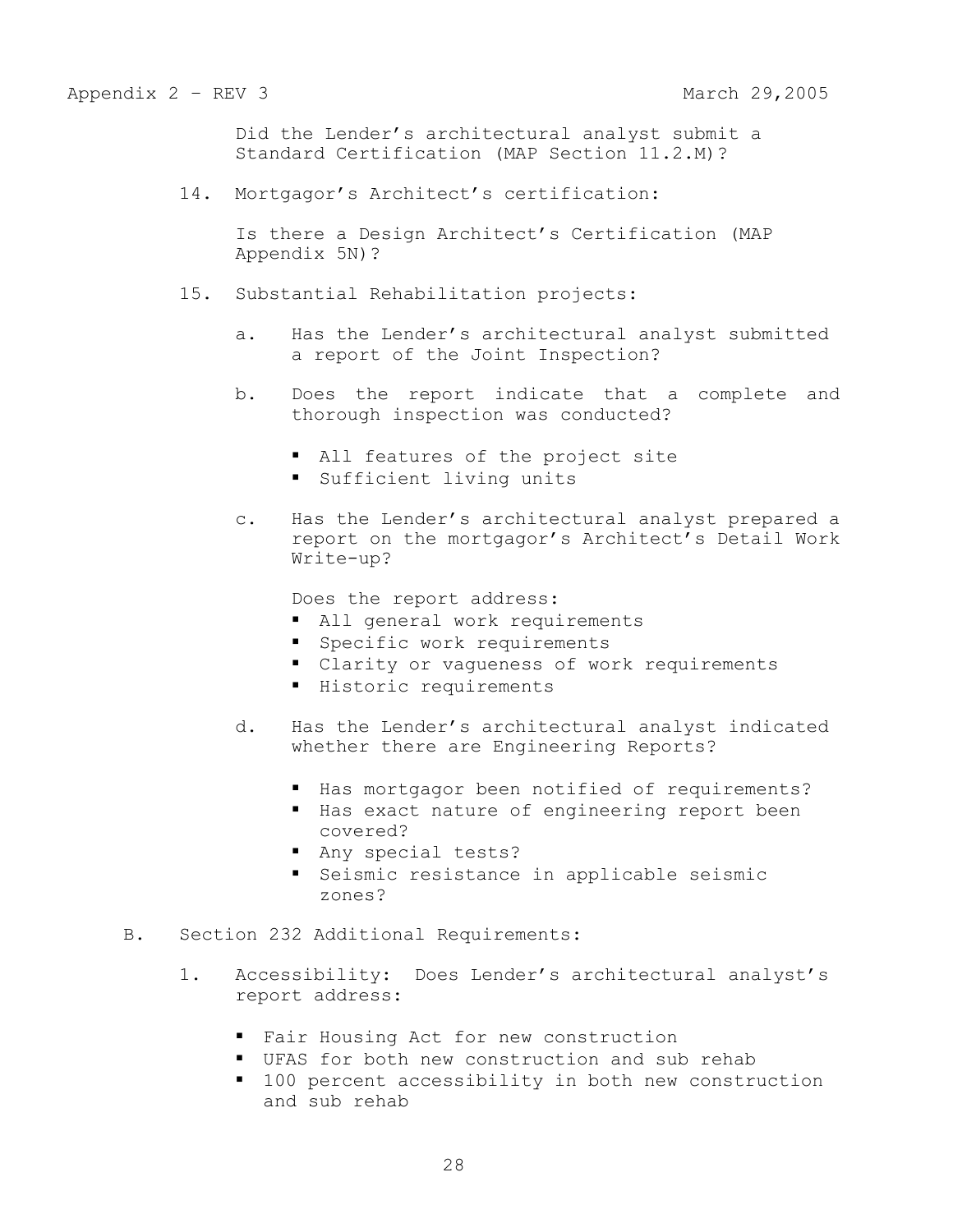Did the Lender's architectural analyst submit a Standard Certification (MAP Section 11.2.M)?

14. Mortgagor's Architect's certification:

Is there a Design Architect's Certification (MAP Appendix 5N)?

- 15. Substantial Rehabilitation projects:
	- a. Has the Lender's architectural analyst submitted a report of the Joint Inspection?
	- b. Does the report indicate that a complete and thorough inspection was conducted?
		- All features of the project site
		- Sufficient living units
	- c. Has the Lender's architectural analyst prepared a report on the mortgagor's Architect's Detail Work Write-up?

Does the report address:

- All general work requirements
- **Specific work requirements**
- Clarity or vagueness of work requirements
- **Historic requirements**
- d. Has the Lender's architectural analyst indicated whether there are Engineering Reports?
	- Has mortgagor been notified of requirements?
	- Has exact nature of engineering report been covered?
	- Any special tests?
	- Seismic resistance in applicable seismic zones?
- B. Section 232 Additional Requirements:
	- 1. Accessibility: Does Lender's architectural analyst's report address:
		- Fair Housing Act for new construction
		- UFAS for both new construction and sub rehab
		- 100 percent accessibility in both new construction and sub rehab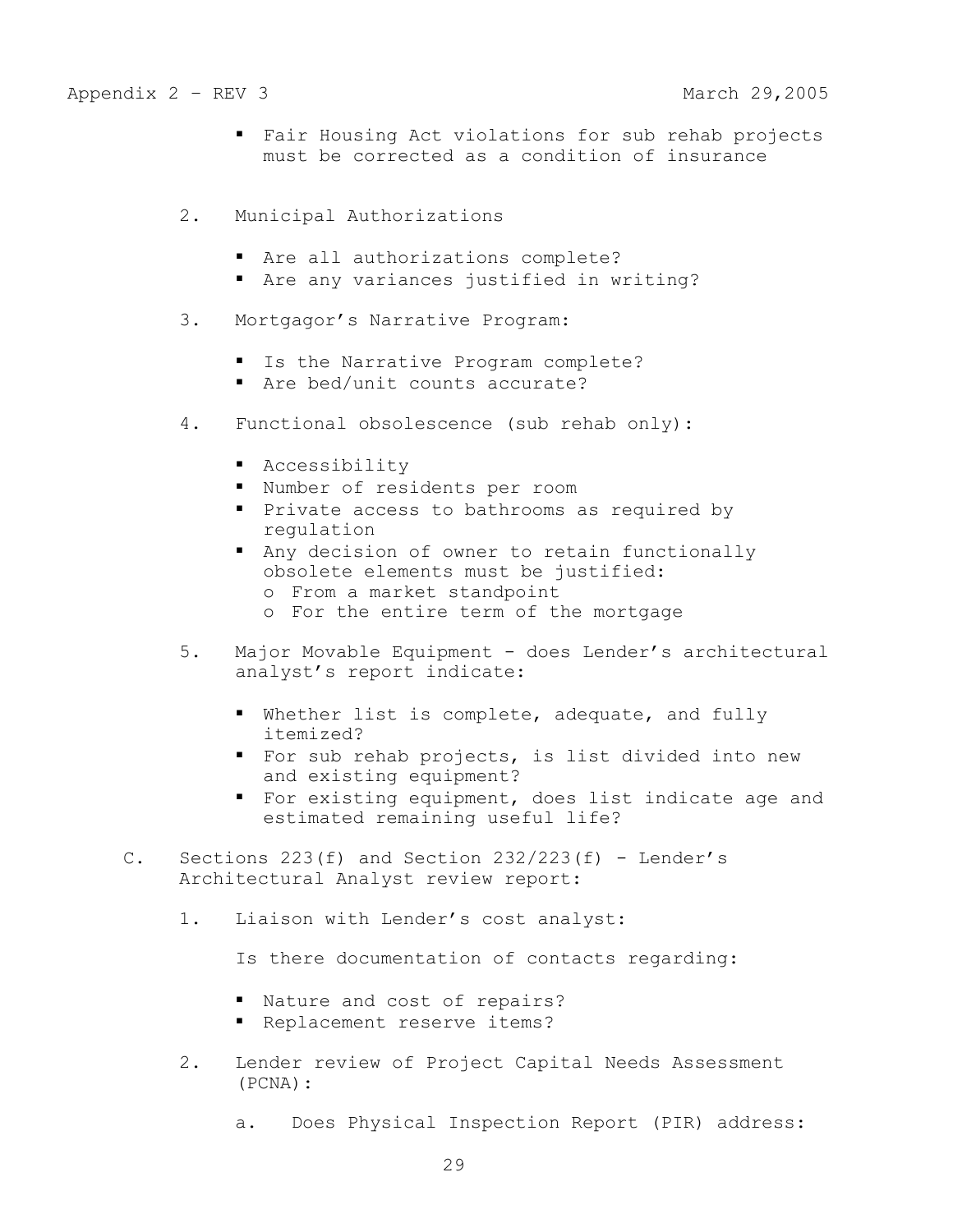- Fair Housing Act violations for sub rehab projects must be corrected as a condition of insurance
- 2. Municipal Authorizations
	- Are all authorizations complete?
	- Are any variances justified in writing?
- 3. Mortgagor's Narrative Program:
	- **Is the Narrative Program complete?**
	- Are bed/unit counts accurate?
- 4. Functional obsolescence (sub rehab only):
	- Accessibility
	- Number of residents per room
	- **Private access to bathrooms as required by** regulation
	- Any decision of owner to retain functionally obsolete elements must be justified:
		- o From a market standpoint
		- o For the entire term of the mortgage
- 5. Major Movable Equipment does Lender's architectural analyst's report indicate:
	- **Whether list is complete, adequate, and fully** itemized?
	- **For sub rehab projects, is list divided into new** and existing equipment?
	- **For existing equipment, does list indicate age and** estimated remaining useful life?
- C. Sections  $223(f)$  and Section  $232/223(f)$  Lender's Architectural Analyst review report:
	- 1. Liaison with Lender's cost analyst:
		- Is there documentation of contacts regarding:
		- Nature and cost of repairs?
		- **Replacement reserve items?**
	- 2. Lender review of Project Capital Needs Assessment (PCNA):
		- a. Does Physical Inspection Report (PIR) address: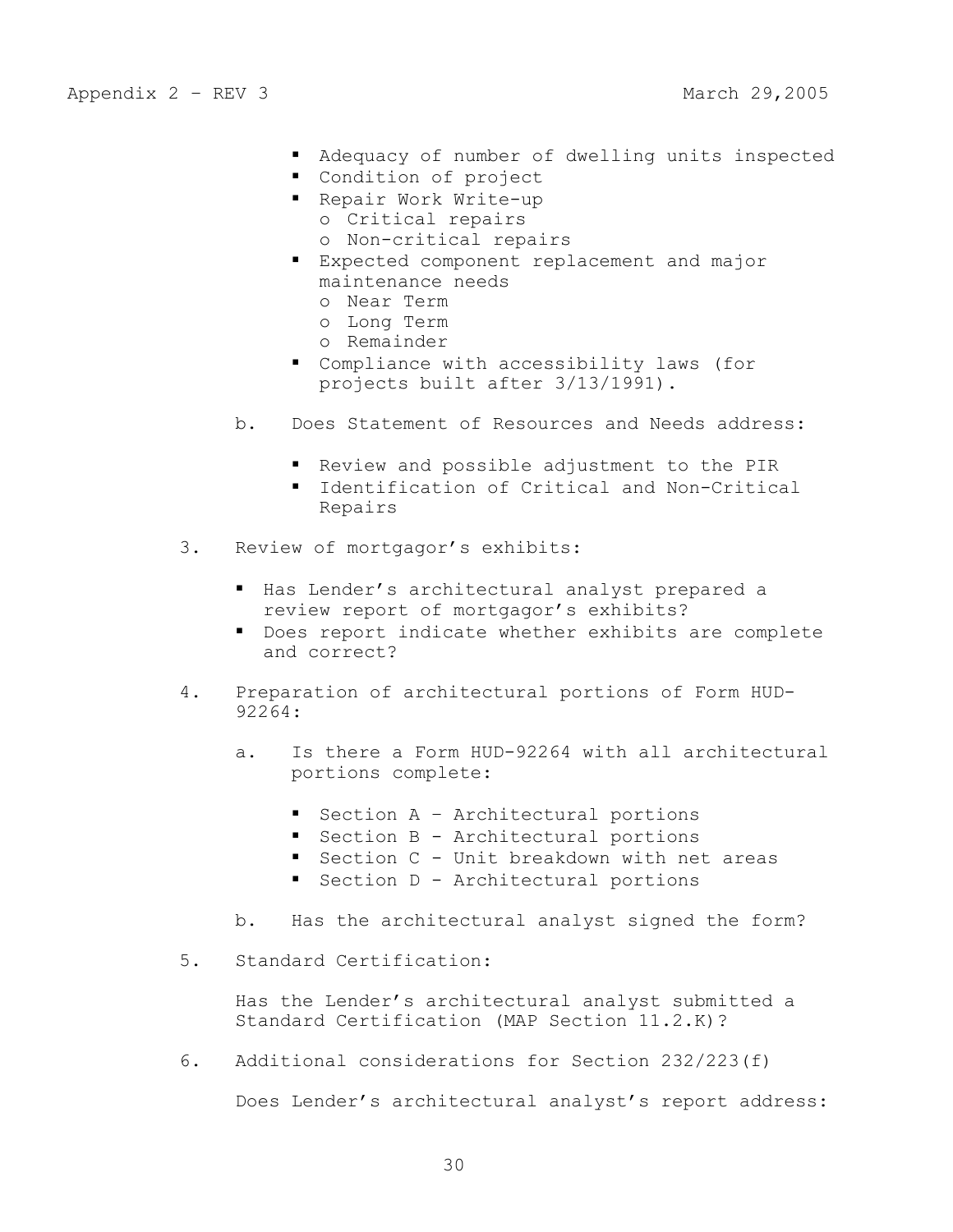- Adequacy of number of dwelling units inspected
- Condition of project
- Repair Work Write-up
	- o Critical repairs
	- o Non-critical repairs
- Expected component replacement and major maintenance needs
	- o Near Term
	- o Long Term
	- o Remainder
- Compliance with accessibility laws (for projects built after 3/13/1991).
- b. Does Statement of Resources and Needs address:
	- Review and possible adjustment to the PIR
	- **I** Identification of Critical and Non-Critical Repairs
- 3. Review of mortgagor's exhibits:
	- Has Lender's architectural analyst prepared a review report of mortgagor's exhibits?
	- **Does report indicate whether exhibits are complete** and correct?
- 4. Preparation of architectural portions of Form HUD-92264:
	- a. Is there a Form HUD-92264 with all architectural portions complete:
		- Section A Architectural portions
		- Section B Architectural portions
		- Section C Unit breakdown with net areas
		- Section D Architectural portions
	- b. Has the architectural analyst signed the form?
- 5. Standard Certification:

Has the Lender's architectural analyst submitted a Standard Certification (MAP Section 11.2.K)?

6. Additional considerations for Section 232/223(f)

Does Lender's architectural analyst's report address: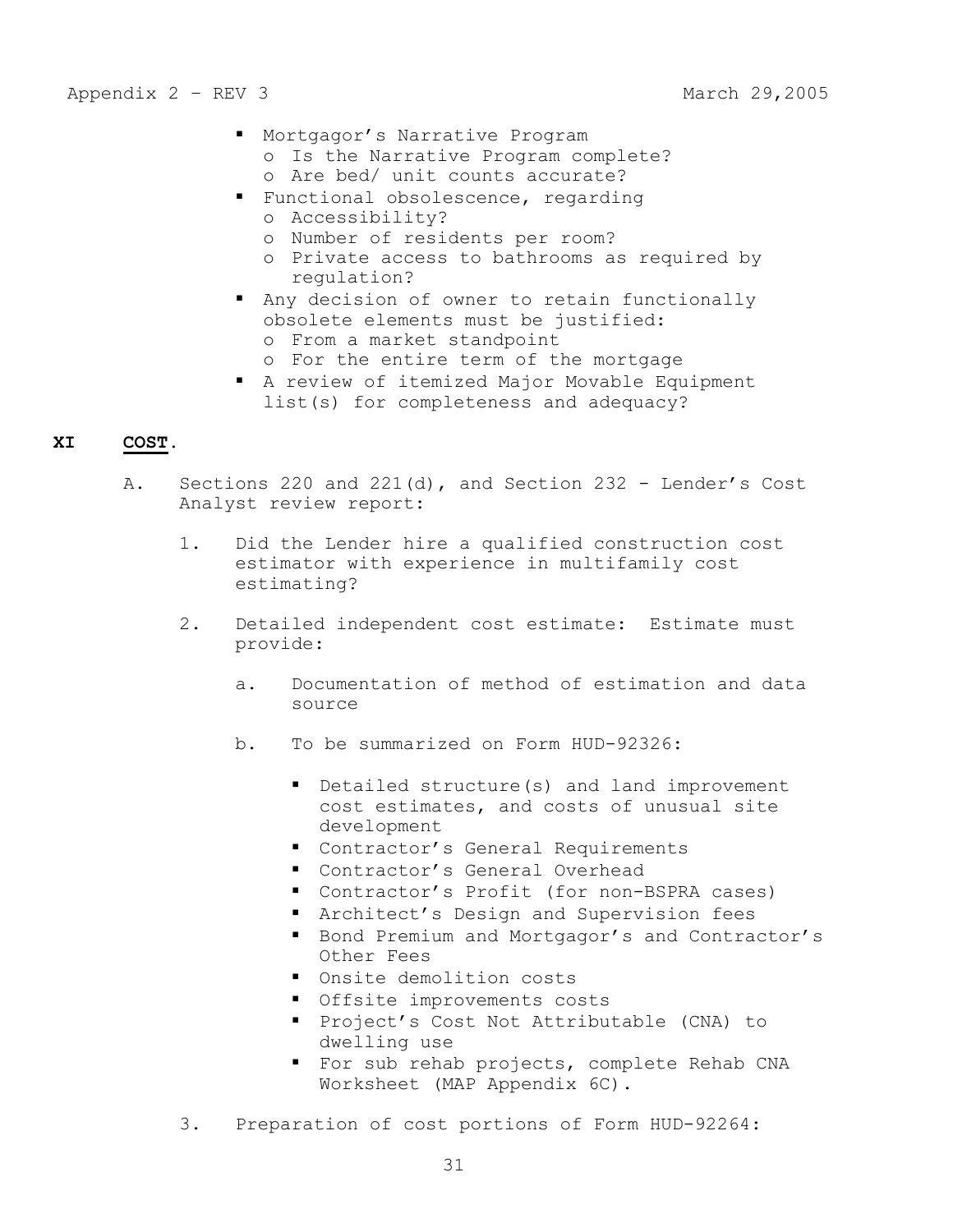- **Mortgagor's Narrative Program** 
	- o Is the Narrative Program complete?
	- o Are bed/ unit counts accurate?
- **Functional obsolescence, regarding** 
	- o Accessibility?
	- o Number of residents per room?
	- o Private access to bathrooms as required by regulation?
- Any decision of owner to retain functionally obsolete elements must be justified:
	- o From a market standpoint
	- o For the entire term of the mortgage
- A review of itemized Major Movable Equipment list(s) for completeness and adequacy?

# **XI COST.**

- A. Sections 220 and 221(d), and Section 232 Lender's Cost Analyst review report:
	- 1. Did the Lender hire a qualified construction cost estimator with experience in multifamily cost estimating?
	- 2. Detailed independent cost estimate: Estimate must provide:
		- a. Documentation of method of estimation and data source
		- b. To be summarized on Form HUD-92326:
			- Detailed structure(s) and land improvement cost estimates, and costs of unusual site development
			- **Contractor's General Requirements**
			- Contractor's General Overhead
			- Contractor's Profit (for non-BSPRA cases)
			- Architect's Design and Supervision fees
			- **Bond Premium and Mortgagor's and Contractor's** Other Fees
			- Onsite demolition costs
			- **Offsite improvements costs**
			- Project's Cost Not Attributable (CNA) to dwelling use
			- **For sub rehab projects, complete Rehab CNA** Worksheet (MAP Appendix 6C).
	- 3. Preparation of cost portions of Form HUD-92264: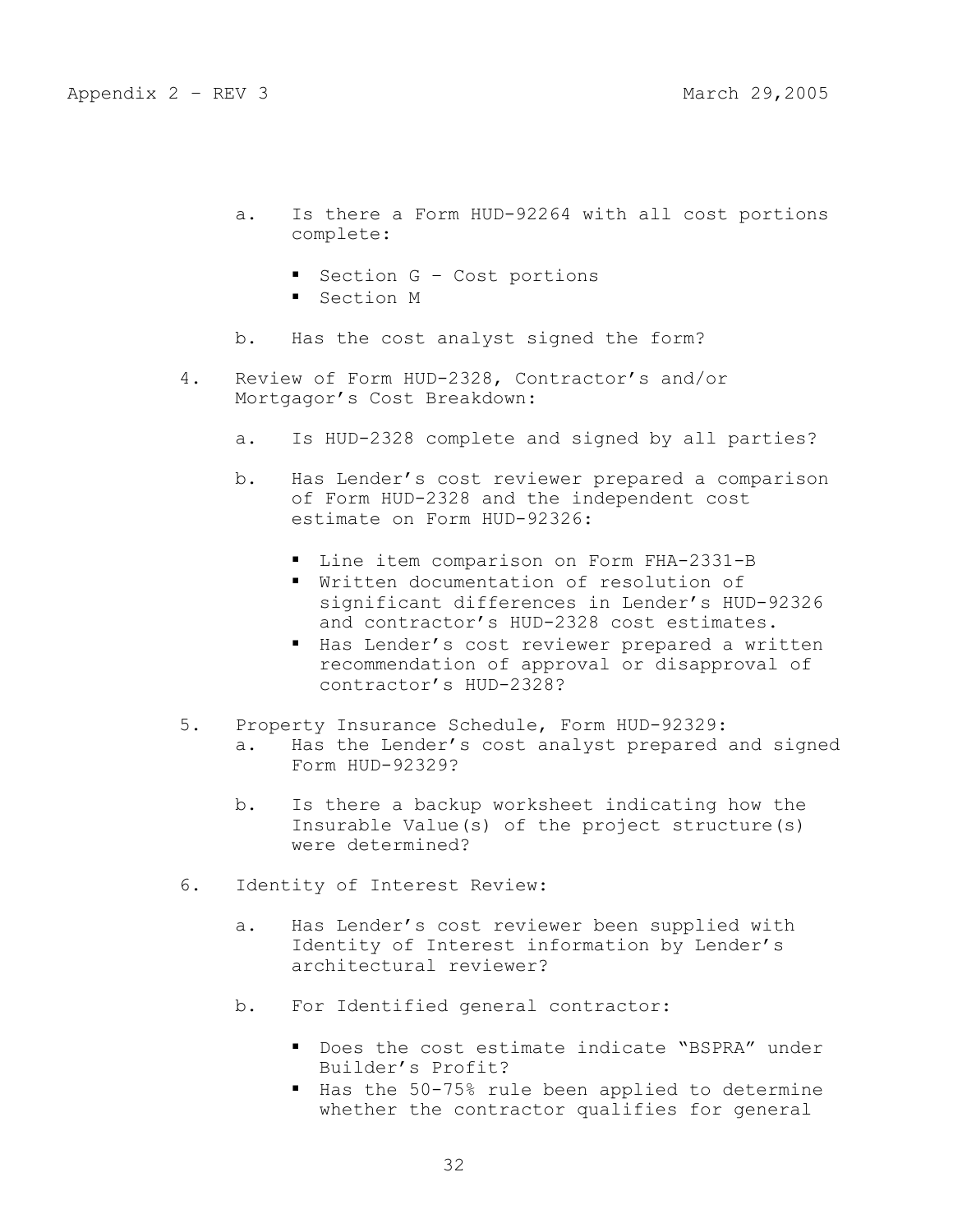- a. Is there a Form HUD-92264 with all cost portions complete:
	- **Section G Cost portions**
	- Section M
- b. Has the cost analyst signed the form?
- 4. Review of Form HUD-2328, Contractor's and/or Mortgagor's Cost Breakdown:
	- a. Is HUD-2328 complete and signed by all parties?
	- b. Has Lender's cost reviewer prepared a comparison of Form HUD-2328 and the independent cost estimate on Form HUD-92326:
		- Line item comparison on Form FHA-2331-B
		- Written documentation of resolution of significant differences in Lender's HUD-92326 and contractor's HUD-2328 cost estimates.
		- Has Lender's cost reviewer prepared a written recommendation of approval or disapproval of contractor's HUD-2328?
- 5. Property Insurance Schedule, Form HUD-92329:
	- a. Has the Lender's cost analyst prepared and signed Form HUD-92329?
	- b. Is there a backup worksheet indicating how the Insurable Value(s) of the project structure(s) were determined?
- 6. Identity of Interest Review:
	- a. Has Lender's cost reviewer been supplied with Identity of Interest information by Lender's architectural reviewer?
	- b. For Identified general contractor:
		- Does the cost estimate indicate "BSPRA" under Builder's Profit?
		- Has the 50-75% rule been applied to determine whether the contractor qualifies for general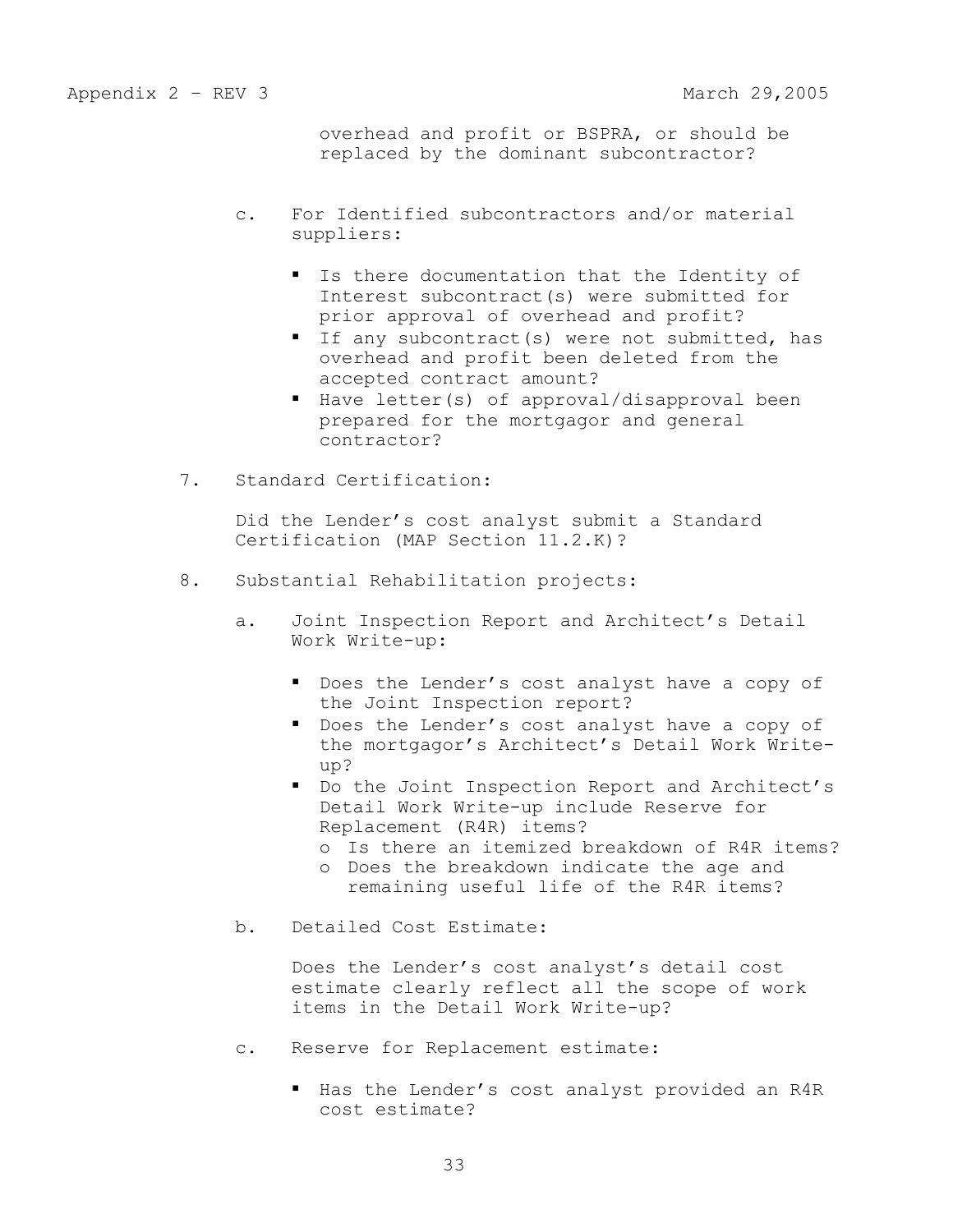overhead and profit or BSPRA, or should be replaced by the dominant subcontractor?

- c. For Identified subcontractors and/or material suppliers:
	- Is there documentation that the Identity of Interest subcontract(s) were submitted for prior approval of overhead and profit?
	- If any subcontract(s) were not submitted, has overhead and profit been deleted from the accepted contract amount?
	- Have letter(s) of approval/disapproval been prepared for the mortgagor and general contractor?
- 7. Standard Certification:

Did the Lender's cost analyst submit a Standard Certification (MAP Section 11.2.K)?

- 8. Substantial Rehabilitation projects:
	- a. Joint Inspection Report and Architect's Detail Work Write-up:
		- Does the Lender's cost analyst have a copy of the Joint Inspection report?
		- Does the Lender's cost analyst have a copy of the mortgagor's Architect's Detail Work Writeup?
		- Do the Joint Inspection Report and Architect's Detail Work Write-up include Reserve for Replacement (R4R) items?
			- o Is there an itemized breakdown of R4R items?
			- o Does the breakdown indicate the age and remaining useful life of the R4R items?
	- b. Detailed Cost Estimate:

Does the Lender's cost analyst's detail cost estimate clearly reflect all the scope of work items in the Detail Work Write-up?

- c. Reserve for Replacement estimate:
	- Has the Lender's cost analyst provided an R4R cost estimate?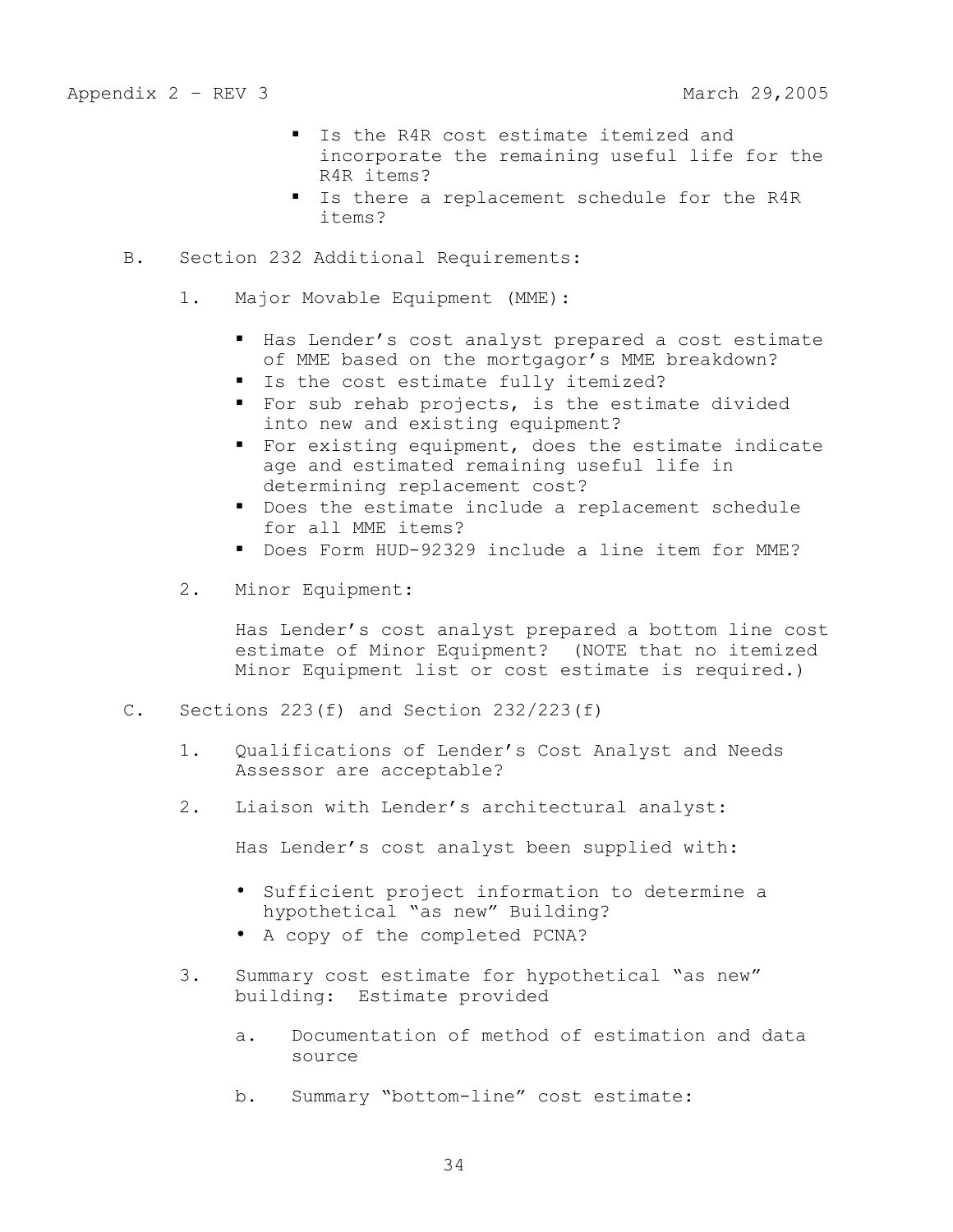- Is the R4R cost estimate itemized and incorporate the remaining useful life for the R4R items?
- I s there a replacement schedule for the R4R items?
- B. Section 232 Additional Requirements:
	- 1. Major Movable Equipment (MME):
		- Has Lender's cost analyst prepared a cost estimate of MME based on the mortgagor's MME breakdown?
		- Is the cost estimate fully itemized?
		- **For sub rehab projects, is the estimate divided** into new and existing equipment?
		- For existing equipment, does the estimate indicate age and estimated remaining useful life in determining replacement cost?
		- Does the estimate include a replacement schedule for all MME items?
		- Does Form HUD-92329 include a line item for MME?
	- 2. Minor Equipment:

Has Lender's cost analyst prepared a bottom line cost estimate of Minor Equipment? (NOTE that no itemized Minor Equipment list or cost estimate is required.)

- C. Sections  $223(f)$  and Section  $232/223(f)$ 
	- 1. Qualifications of Lender's Cost Analyst and Needs Assessor are acceptable?
	- 2. Liaison with Lender's architectural analyst:

Has Lender's cost analyst been supplied with:

- Sufficient project information to determine a hypothetical "as new" Building?
- A copy of the completed PCNA?
- 3. Summary cost estimate for hypothetical "as new" building: Estimate provided
	- a. Documentation of method of estimation and data source
	- b. Summary "bottom-line" cost estimate: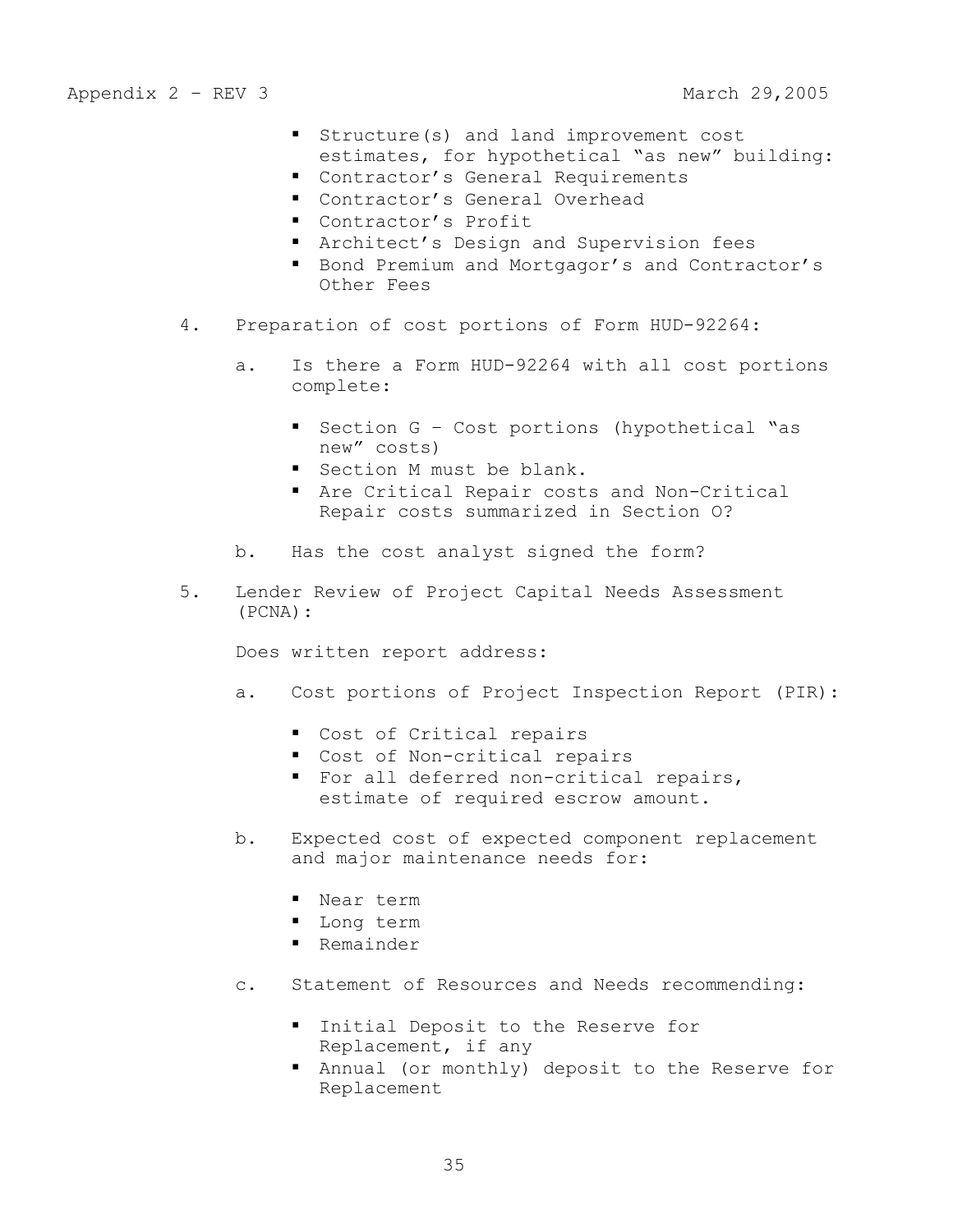- Structure(s) and land improvement cost estimates, for hypothetical "as new" building:
- **Contractor's General Requirements**
- Contractor's General Overhead
- Contractor's Profit
- Architect's Design and Supervision fees
- **Bond Premium and Mortgagor's and Contractor's** Other Fees
- 4. Preparation of cost portions of Form HUD-92264:
	- a. Is there a Form HUD-92264 with all cost portions complete:
		- **Section G Cost portions (hypothetical "as** new" costs)
		- Section M must be blank.
		- Are Critical Repair costs and Non-Critical Repair costs summarized in Section O?
	- b. Has the cost analyst signed the form?
- 5. Lender Review of Project Capital Needs Assessment (PCNA):

Does written report address:

- a. Cost portions of Project Inspection Report (PIR):
	- Cost of Critical repairs
	- Cost of Non-critical repairs
	- **For all deferred non-critical repairs,** estimate of required escrow amount.
- b. Expected cost of expected component replacement and major maintenance needs for:
	- **Near term**
	- **Long term**
	- **Remainder**
- c. Statement of Resources and Needs recommending:
	- Initial Deposit to the Reserve for Replacement, if any
	- Annual (or monthly) deposit to the Reserve for Replacement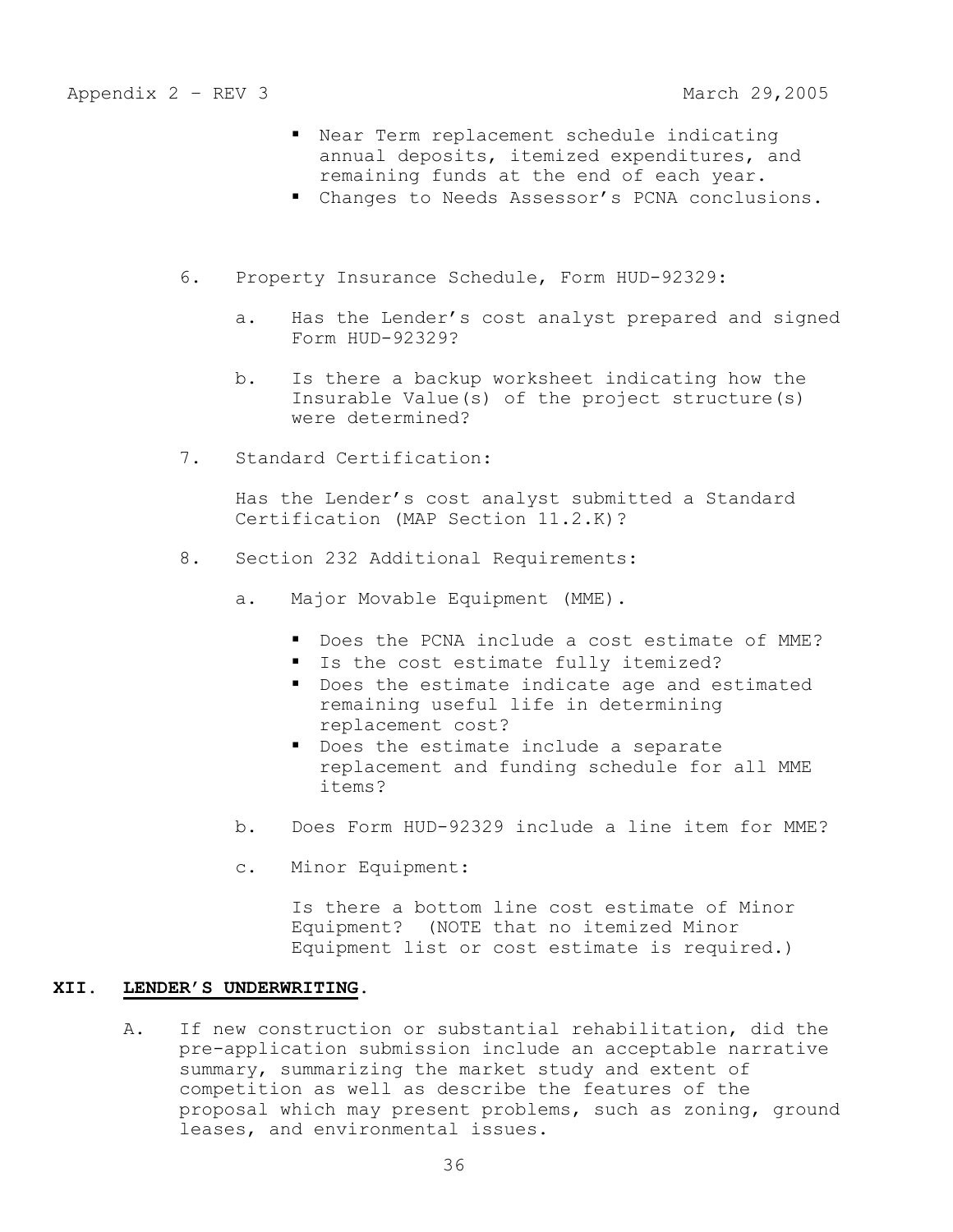- Near Term replacement schedule indicating annual deposits, itemized expenditures, and remaining funds at the end of each year.
- Changes to Needs Assessor's PCNA conclusions.
- 6. Property Insurance Schedule, Form HUD-92329:
	- a. Has the Lender's cost analyst prepared and signed Form HUD-92329?
	- b. Is there a backup worksheet indicating how the Insurable Value(s) of the project structure(s) were determined?
- 7. Standard Certification:

Has the Lender's cost analyst submitted a Standard Certification (MAP Section 11.2.K)?

- 8. Section 232 Additional Requirements:
	- a. Major Movable Equipment (MME).
		- Does the PCNA include a cost estimate of MME?
		- Is the cost estimate fully itemized?
		- **P** Does the estimate indicate age and estimated remaining useful life in determining replacement cost?
		- Does the estimate include a separate replacement and funding schedule for all MME items?
	- b. Does Form HUD-92329 include a line item for MME?
	- c. Minor Equipment:

Is there a bottom line cost estimate of Minor Equipment? (NOTE that no itemized Minor Equipment list or cost estimate is required.)

## **XII. LENDER'S UNDERWRITING.**

A. If new construction or substantial rehabilitation, did the pre-application submission include an acceptable narrative summary, summarizing the market study and extent of competition as well as describe the features of the proposal which may present problems, such as zoning, ground leases, and environmental issues.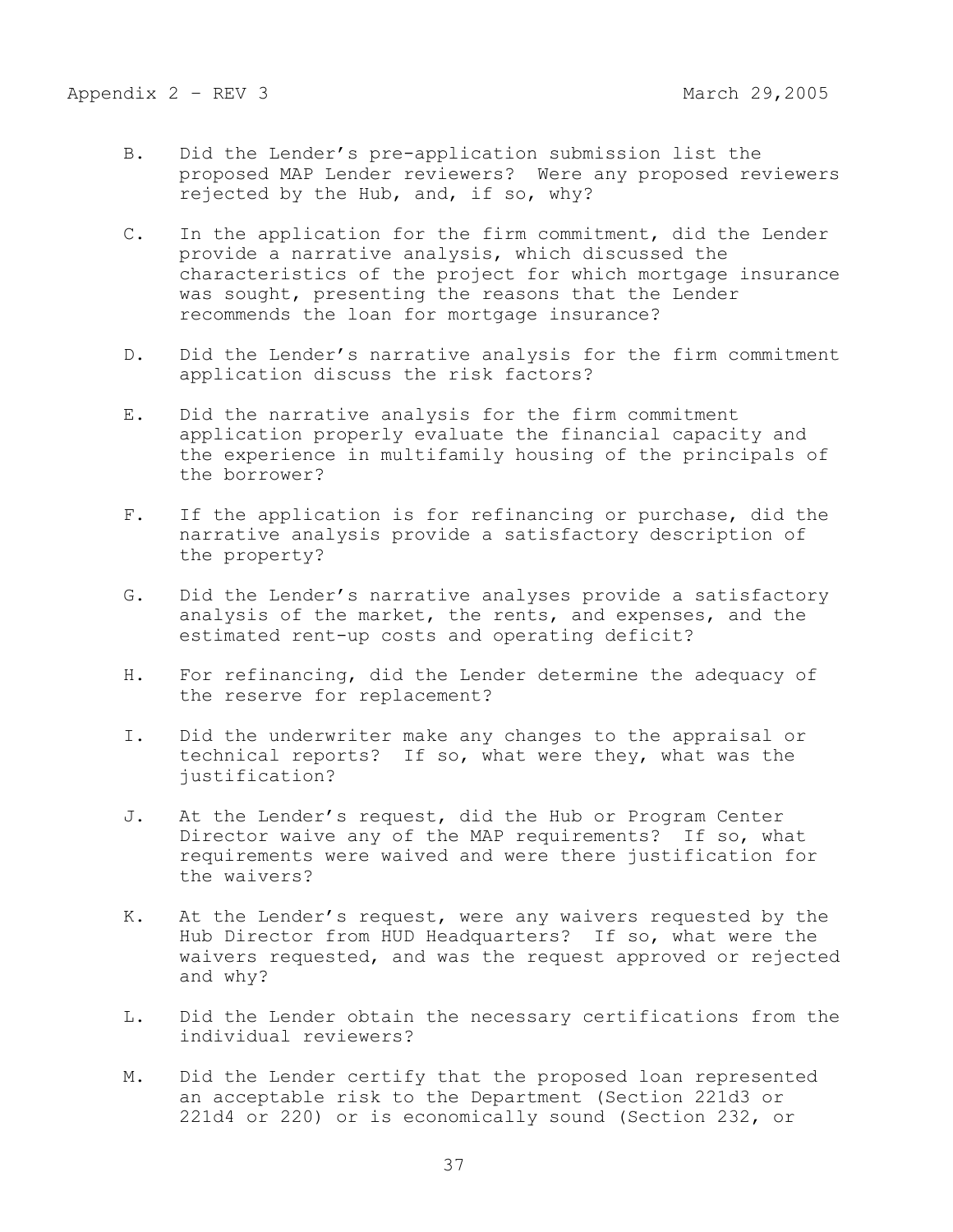- B. Did the Lender's pre-application submission list the proposed MAP Lender reviewers? Were any proposed reviewers rejected by the Hub, and, if so, why?
- C. In the application for the firm commitment, did the Lender provide a narrative analysis, which discussed the characteristics of the project for which mortgage insurance was sought, presenting the reasons that the Lender recommends the loan for mortgage insurance?
- D. Did the Lender's narrative analysis for the firm commitment application discuss the risk factors?
- E. Did the narrative analysis for the firm commitment application properly evaluate the financial capacity and the experience in multifamily housing of the principals of the borrower?
- F. If the application is for refinancing or purchase, did the narrative analysis provide a satisfactory description of the property?
- G. Did the Lender's narrative analyses provide a satisfactory analysis of the market, the rents, and expenses, and the estimated rent-up costs and operating deficit?
- H. For refinancing, did the Lender determine the adequacy of the reserve for replacement?
- I. Did the underwriter make any changes to the appraisal or technical reports? If so, what were they, what was the justification?
- J. At the Lender's request, did the Hub or Program Center Director waive any of the MAP requirements? If so, what requirements were waived and were there justification for the waivers?
- K. At the Lender's request, were any waivers requested by the Hub Director from HUD Headquarters? If so, what were the waivers requested, and was the request approved or rejected and why?
- L. Did the Lender obtain the necessary certifications from the individual reviewers?
- M. Did the Lender certify that the proposed loan represented an acceptable risk to the Department (Section 221d3 or 221d4 or 220) or is economically sound (Section 232, or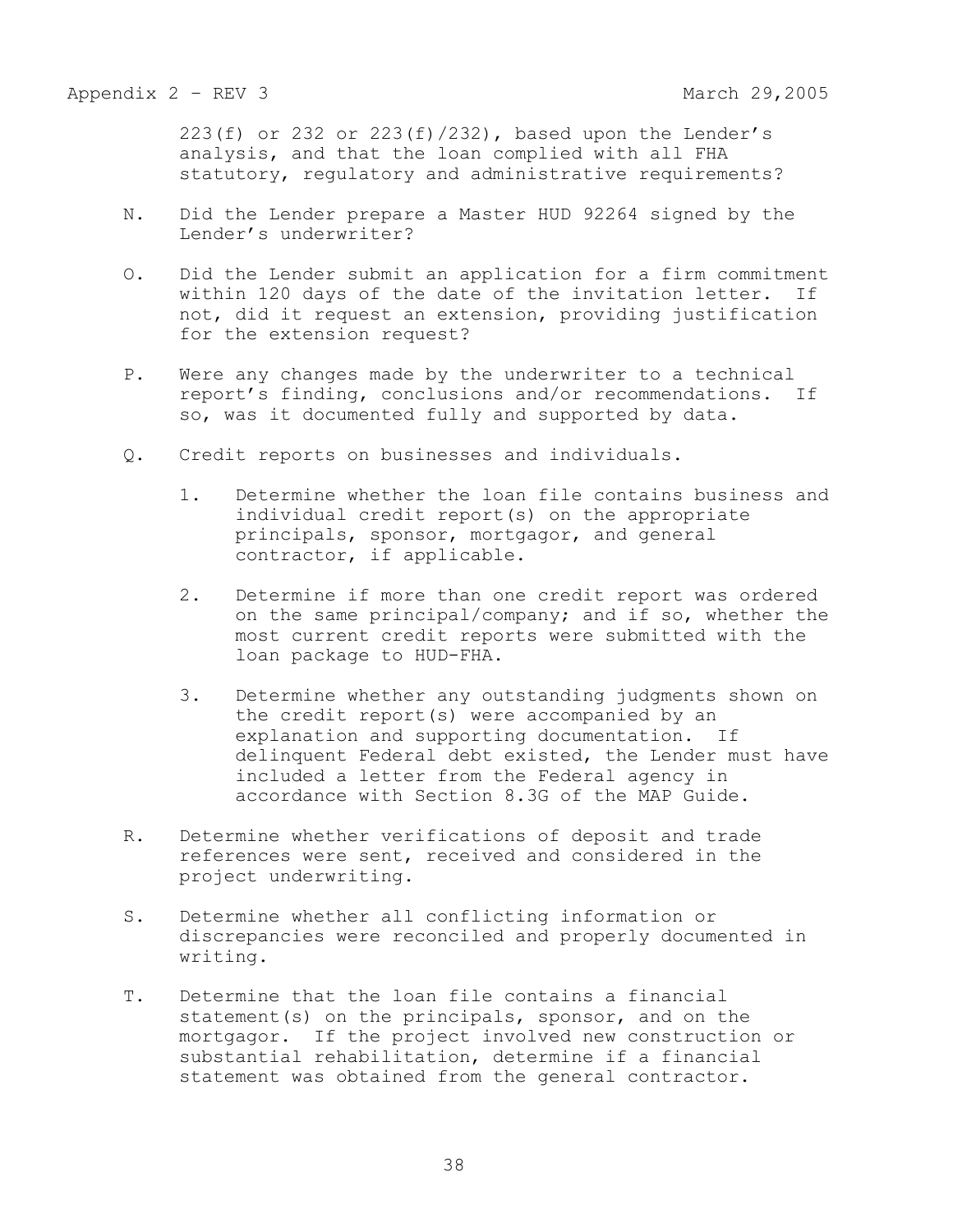223(f) or 232 or 223(f)/232), based upon the Lender's analysis, and that the loan complied with all FHA statutory, regulatory and administrative requirements?

- N. Did the Lender prepare a Master HUD 92264 signed by the Lender's underwriter?
- O. Did the Lender submit an application for a firm commitment within 120 days of the date of the invitation letter. If not, did it request an extension, providing justification for the extension request?
- P. Were any changes made by the underwriter to a technical report's finding, conclusions and/or recommendations. If so, was it documented fully and supported by data.
- Q. Credit reports on businesses and individuals.
	- 1. Determine whether the loan file contains business and individual credit report(s) on the appropriate principals, sponsor, mortgagor, and general contractor, if applicable.
	- 2. Determine if more than one credit report was ordered on the same principal/company; and if so, whether the most current credit reports were submitted with the loan package to HUD-FHA.
	- 3. Determine whether any outstanding judgments shown on the credit report(s) were accompanied by an explanation and supporting documentation. If delinquent Federal debt existed, the Lender must have included a letter from the Federal agency in accordance with Section 8.3G of the MAP Guide.
- R. Determine whether verifications of deposit and trade references were sent, received and considered in the project underwriting.
- S. Determine whether all conflicting information or discrepancies were reconciled and properly documented in writing.
- T. Determine that the loan file contains a financial statement(s) on the principals, sponsor, and on the mortgagor. If the project involved new construction or substantial rehabilitation, determine if a financial statement was obtained from the general contractor.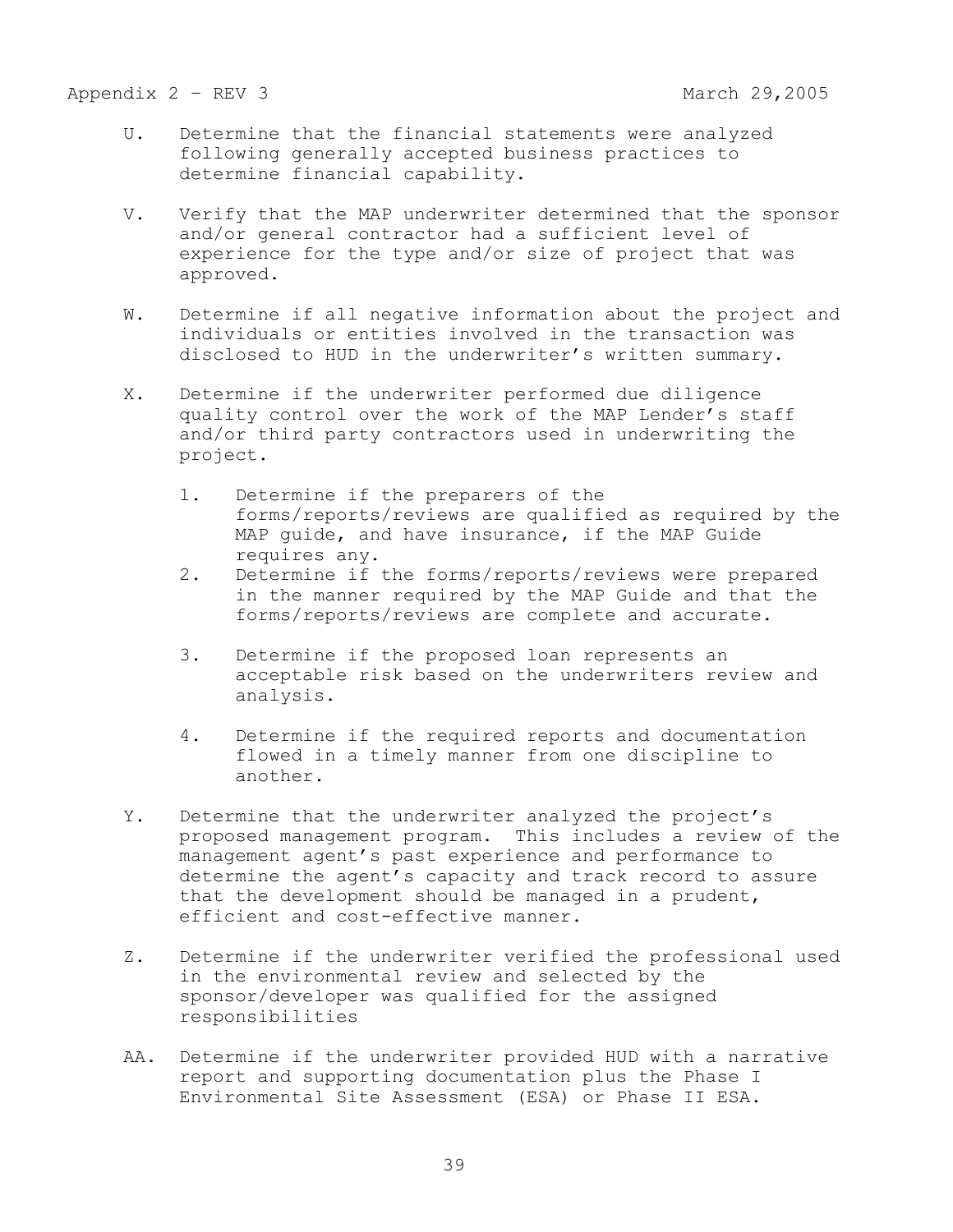- U. Determine that the financial statements were analyzed following generally accepted business practices to determine financial capability.
- V. Verify that the MAP underwriter determined that the sponsor and/or general contractor had a sufficient level of experience for the type and/or size of project that was approved.
- W. Determine if all negative information about the project and individuals or entities involved in the transaction was disclosed to HUD in the underwriter's written summary.
- X. Determine if the underwriter performed due diligence quality control over the work of the MAP Lender's staff and/or third party contractors used in underwriting the project.
	- 1. Determine if the preparers of the forms/reports/reviews are qualified as required by the MAP guide, and have insurance, if the MAP Guide requires any.
	- 2. Determine if the forms/reports/reviews were prepared in the manner required by the MAP Guide and that the forms/reports/reviews are complete and accurate.
	- 3. Determine if the proposed loan represents an acceptable risk based on the underwriters review and analysis.
	- 4. Determine if the required reports and documentation flowed in a timely manner from one discipline to another.
- Y. Determine that the underwriter analyzed the project's proposed management program. This includes a review of the management agent's past experience and performance to determine the agent's capacity and track record to assure that the development should be managed in a prudent, efficient and cost-effective manner.
- Z. Determine if the underwriter verified the professional used in the environmental review and selected by the sponsor/developer was qualified for the assigned responsibilities
- AA. Determine if the underwriter provided HUD with a narrative report and supporting documentation plus the Phase I Environmental Site Assessment (ESA) or Phase II ESA.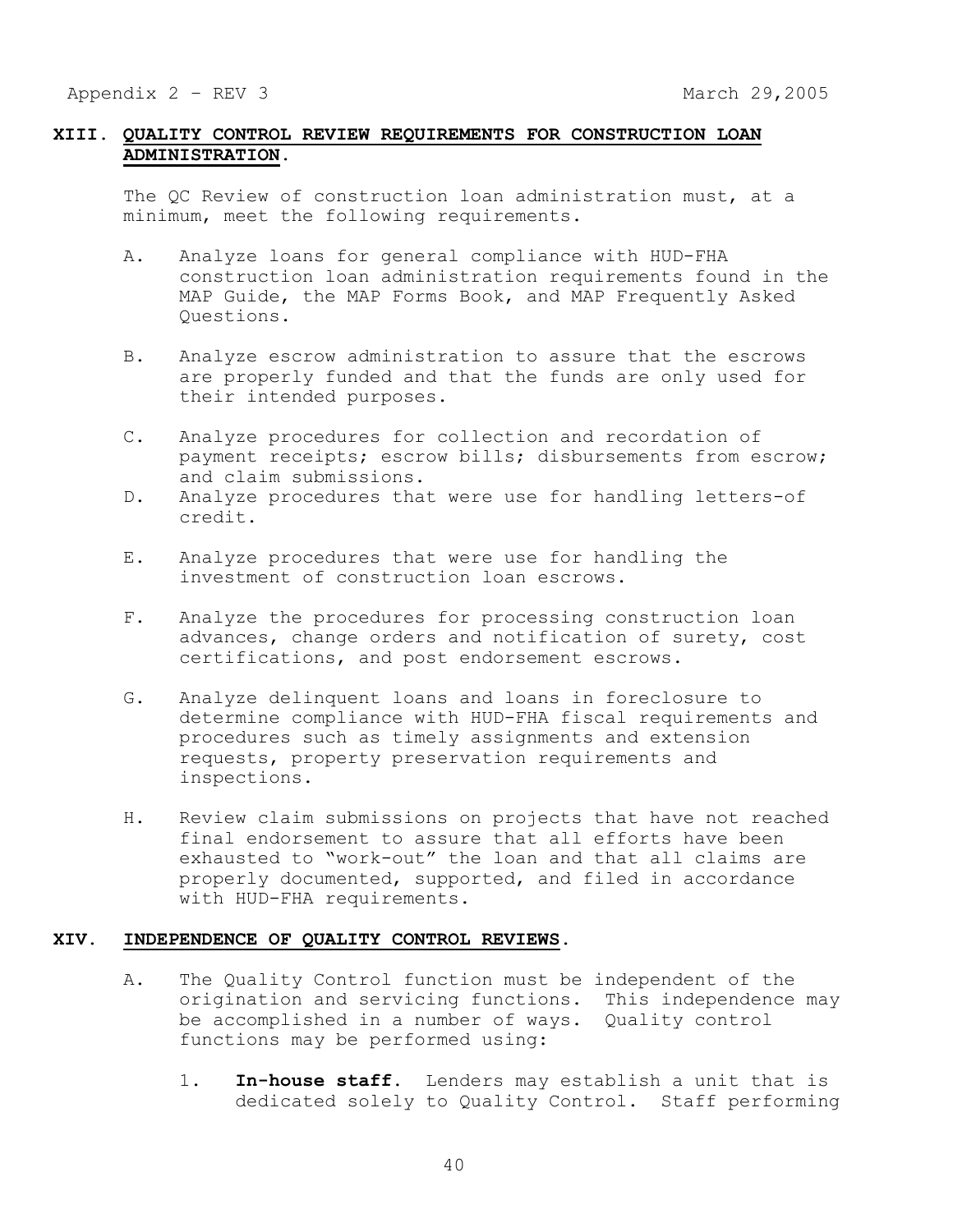## **XIII. QUALITY CONTROL REVIEW REQUIREMENTS FOR CONSTRUCTION LOAN ADMINISTRATION.**

The QC Review of construction loan administration must, at a minimum, meet the following requirements.

- A. Analyze loans for general compliance with HUD-FHA construction loan administration requirements found in the MAP Guide, the MAP Forms Book, and MAP Frequently Asked Questions.
- B. Analyze escrow administration to assure that the escrows are properly funded and that the funds are only used for their intended purposes.
- C. Analyze procedures for collection and recordation of payment receipts; escrow bills; disbursements from escrow; and claim submissions.
- D. Analyze procedures that were use for handling letters-of credit.
- E. Analyze procedures that were use for handling the investment of construction loan escrows.
- F. Analyze the procedures for processing construction loan advances, change orders and notification of surety, cost certifications, and post endorsement escrows.
- G. Analyze delinquent loans and loans in foreclosure to determine compliance with HUD-FHA fiscal requirements and procedures such as timely assignments and extension requests, property preservation requirements and inspections.
- H. Review claim submissions on projects that have not reached final endorsement to assure that all efforts have been exhausted to "work-out" the loan and that all claims are properly documented, supported, and filed in accordance with HUD-FHA requirements.

## **XIV. INDEPENDENCE OF QUALITY CONTROL REVIEWS.**

- A. The Quality Control function must be independent of the origination and servicing functions. This independence may be accomplished in a number of ways. Quality control functions may be performed using:
	- 1. **In-house staff.** Lenders may establish a unit that is dedicated solely to Quality Control. Staff performing